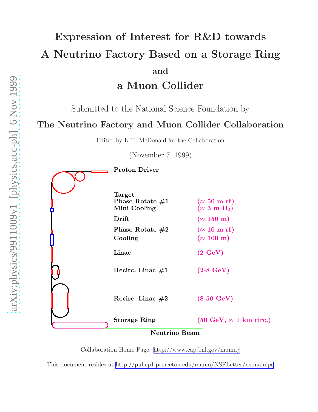# Expression of Interest for R&D towards A Neutrino Factory Based on a Storage Ring and a Muon Collider

Submitted to the National Science Foundation by

# The Neutrino Factory and Muon Collider Collaboration

Edited by K.T. McDonald for the Collaboration

(November 7, 1999)

Proton Driver Target Phase Rotate  $\#1$  ( $\approx 50$  m rf) Mini Cooling  $(\approx 3 \text{ m H}_2)$ Drift ( $\approx 150 \text{ m}$ ) Phase Rotate  $\#2$  ( $\approx 10$  m rf) Cooling  $(\approx 100 \text{ m})$  $Linac$  (2  $GeV$ ) Recirc. Linac  $#1$  (2-8 GeV) Recirc. Linac  $#2$  (8-50 GeV) Storage Ring (50 GeV,  $\approx$  1 km circ.) Neutrino Beam

Collaboration Home Page:<http://www.cap.bnl.gov/mumu/>

This document resides at<http://puhep1.princeton.edu/mumu/NSFLetter/nsfmain.ps>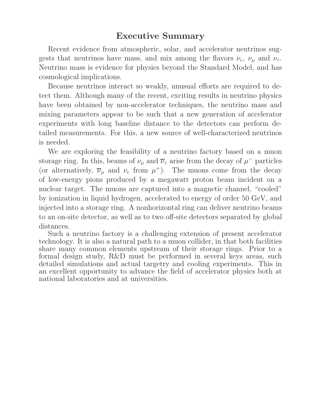# Executive Summary

Recent evidence from atmospheric, solar, and accelerator neutrinos suggests that neutrinos have mass, and mix among the flavors  $\nu_e$ ,  $\nu_\mu$  and  $\nu_\tau$ . Neutrino mass is evidence for physics beyond the Standard Model, and has cosmological implications.

Because neutrinos interact so weakly, unusual efforts are required to detect them. Although many of the recent, exciting results in neutrino physics have been obtained by non-accelerator techniques, the neutrino mass and mixing parameters appear to be such that a new generation of accelerator experiments with long baseline distance to the detectors can perform detailed measurements. For this, a new source of well-characterized neutrinos is needed.

We are exploring the feasibility of a neutrino factory based on a muon storage ring. In this, beams of  $\nu_{\mu}$  and  $\overline{\nu}_{e}$  arise from the decay of  $\mu^{-}$  particles (or alternatively,  $\overline{\nu}_{\mu}$  and  $\nu_e$  from  $\mu^+$ ). The muons come from the decay of low-energy pions produced by a megawatt proton beam incident on a nuclear target. The muons are captured into a magnetic channel, "cooled" by ionization in liquid hydrogen, accelerated to energy of order 50 GeV, and injected into a storage ring. A nonhorizontal ring can deliver neutrino beams to an on-site detector, as well as to two off-site detectors separated by global distances.

Such a neutrino factory is a challenging extension of present accelerator technology. It is also a natural path to a muon collider, in that both facilities share many common elements upstream of their storage rings. Prior to a formal design study, R&D must be performed in several keys areas, such detailed simulations and actual targetry and cooling experiments. This in an excellent opportunity to advance the field of accelerator physics both at national laboratories and at universities.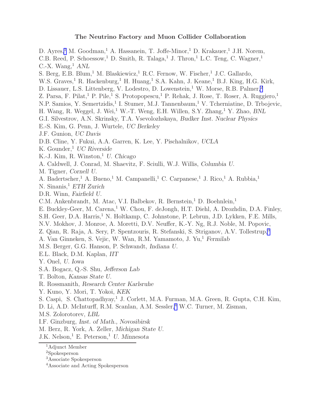#### The Neutrino Factory and Muon Collider Collaboration

D. Ayres,<sup>1</sup> M. Goodman,<sup>1</sup> A. Hassanein, T. Joffe-Minor,<sup>1</sup> D. Krakauer,<sup>1</sup> J.H. Norem, C.B. Reed, P. Schoessow,<sup>1</sup> D. Smith, R. Talaga,<sup>1</sup> J. Thron,<sup>1</sup> L.C. Teng, C. Wagner,<sup>1</sup> C.-X. Wang,  $^1$  ANL S. Berg, E.B. Blum,<sup>1</sup> M. Blaskiewicz,<sup>1</sup> R.C. Fernow, W. Fischer,<sup>1</sup> J.C. Gallardo, W.S. Graves,<sup>1</sup> R. Hackenburg,<sup>1</sup> H. Huang,<sup>1</sup> S.A. Kahn, J. Keane,<sup>1</sup> B.J. King, H.G. Kirk, D. Lissauer, L.S. Littenberg, V. Lodestro, D. Lowenstein,<sup>1</sup> W. Morse, R.B. Palmer,<sup>2</sup> Z. Parsa, F. Pilat,<sup>1</sup> P. Pile,<sup>1</sup> S. Protopopescu,<sup>1</sup> P. Rehak, J. Rose, T. Roser, A. Ruggiero,<sup>1</sup> N.P. Samios, Y. Semertzidis,<sup>1</sup> I. Stumer, M.J. Tannenbaum,<sup>1</sup> V. Tcherniatine, D. Trbojevic, H. Wang, R. Weggel, J. Wei,<sup>1</sup> W.-T. Weng, E.H. Willen, S.Y. Zhang,<sup>1</sup> Y. Zhao, BNL G.I. Silvestrov, A.N. Skrinsky, T.A. Vsevolozhskaya, Budker Inst. Nuclear Physics E.-S. Kim, G. Penn, J. Wurtele, UC Berkeley J.F. Gunion, UC Davis D.B. Cline, Y. Fukui, A.A. Garren, K. Lee, Y. Pischalnikov, UCLA K. Gounder,  $UC$  Riverside K.-J. Kim, R. Winston, $^1$  U. Chicago A. Caldwell, J. Conrad, M. Shaevitz, F. Sciulli, W.J. Willis, Columbia U. M. Tigner, Cornell U. A. Badertscher,<sup>1</sup> A. Bueno,<sup>1</sup> M. Campanelli,<sup>1</sup> C. Carpanese,<sup>1</sup> J. Rico,<sup>1</sup> A. Rubbia,<sup>1</sup> N. Sinanis,<sup>1</sup> ETH Zurich D.R. Winn, Fairfield U. C.M. Ankenbrandt, M. Atac, V.I. Balbekov, R. Bernstein,<sup>1</sup> D. Boehnlein,<sup>1</sup> E. Buckley-Geer, M. Carena,<sup>1</sup> W. Chou, F. deJongh, H.T. Diehl, A. Drozhdin, D.A. Finley, S.H. Geer, D.A. Harris,<sup>1</sup> N. Holtkamp, C. Johnstone, P. Lebrun, J.D. Lykken, F.E. Mills, N.V. Mokhov, J. Monroe, A. Moretti, D.V. Neuffer, K.-Y. Ng, R.J. Noble, M. Popovic, Z. Qian, R. Raja, A. Sery, P. Spentzouris, R. Stefanski, S. Striganov, A.V. Tollestrup,<sup>3</sup> A. Van Ginneken, S. Vejic, W. Wan, R.M. Yamamoto, J. Yu,<sup>1</sup> Fermilab M.S. Berger, G.G. Hanson, P. Schwandt, Indiana U. E.L. Black, D.M. Kaplan, IIT Y. Onel, U. Iowa S.A. Bogacz, Q.-S. Shu, Jefferson Lab T. Bolton, Kansas State U. R. Rossmanith, Research Center Karlsruhe Y. Kuno, Y. Mori, T. Yokoi, KEK S. Caspi, S. Chattopadhyay,<sup>1</sup> J. Corlett, M.A. Furman, M.A. Green, R. Gupta, C.H. Kim, D. Li, A.D. McInturff, R.M. Scanlan, A.M. Sessler,<sup>4</sup> W.C. Turner, M. Zisman, M.S. Zolorotorev, LBL I.F. Ginzburg, Inst. of Math., Novosibirsk M. Berz, R. York, A. Zeller, Michigan State U. J.K. Nelson,<sup>1</sup> E. Peterson,<sup>1</sup> U. Minnesota

<sup>1</sup>Adjunct Member

<sup>2</sup>Spokesperson

<sup>3</sup>Associate Spokesperson

<sup>4</sup>Associate and Acting Spokesperson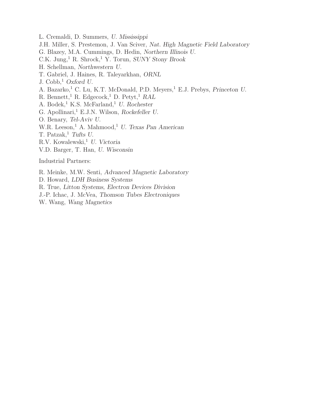- L. Cremaldi, D. Summers, U. Mississippi
- J.H. Miller, S. Prestemon, J. Van Sciver, Nat. High Magnetic Field Laboratory
- G. Blazey, M.A. Cummings, D. Hedin, Northern Illinois U.
- C.K. Jung,<sup>1</sup> R. Shrock,<sup>1</sup> Y. Torun, SUNY Stony Brook
- H. Schellman, Northwestern U.
- T. Gabriel, J. Haines, R. Taleyarkhan, ORNL
- J.  $Cobb$ <sup>1</sup>, Oxford U.
- A. Bazarko,<sup>1</sup> C. Lu, K.T. McDonald, P.D. Meyers,<sup>1</sup> E.J. Prebys, Princeton U.
- R. Bennett,<sup>1</sup> R. Edgecock,<sup>1</sup> D. Petyt,<sup>1</sup> RAL
- A. Bodek,<sup>1</sup> K.S. McFarland,<sup>1</sup> U. Rochester
- G. Apollinari,<sup>1</sup> E.J.N. Wilson, Rockefeller U.
- O. Benary, Tel-Aviv U.
- W.R. Leeson,<sup>1</sup> A. Mahmood,<sup>1</sup> U. Texas Pan American
- T. Patzak,<sup>1</sup> Tufts U.
- R.V. Kowalewski,<sup>1</sup> U. Victoria
- V.D. Barger, T. Han, U. Wisconsin

Industrial Partners:

- R. Meinke, M.W. Senti, Advanced Magnetic Laboratory
- D. Howard, LDH Business Systems
- R. True, Litton Systems, Electron Devices Division
- J.-P. Ichac, J. McVea, Thomson Tubes Electroniques
- W. Wang, Wang Magnetics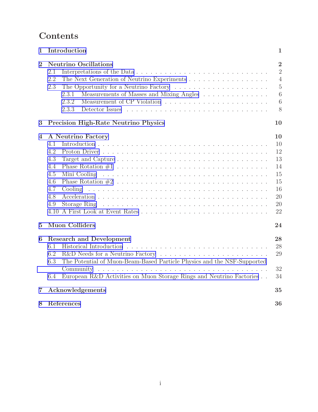# Contents

| 1              | Introduction                                                                                                                                                                                                                                                                                                                                                          | 1                                                                                   |  |  |  |  |
|----------------|-----------------------------------------------------------------------------------------------------------------------------------------------------------------------------------------------------------------------------------------------------------------------------------------------------------------------------------------------------------------------|-------------------------------------------------------------------------------------|--|--|--|--|
| $\overline{2}$ | <b>Neutrino Oscillations</b><br>2.1<br>2.2<br>The Next Generation of Neutrino Experiments<br>2.3<br>Measurements of Masses and Mixing Angles $\ldots \ldots \ldots \ldots \ldots$<br>2.3.1<br>2.3.2<br>2.3.3                                                                                                                                                          | $\overline{2}$<br>$\overline{2}$<br>$\overline{4}$<br>$\overline{5}$<br>6<br>6<br>8 |  |  |  |  |
| 3              | <b>Precision High-Rate Neutrino Physics</b>                                                                                                                                                                                                                                                                                                                           | 10                                                                                  |  |  |  |  |
| 4              | A Neutrino Factory<br>4.1<br>4.2<br>4.3<br>4.4<br>4.5<br>4.6<br>4.7<br>Cooling<br><u>. A series and a series and a series and a series and a series and a series and a series and a series and a se</u><br>4.8<br>Storage Ring<br>4.9<br>.<br>The contract of the contract of the contract of the contract of the contract of the contract of the contract of<br>4.10 | 10<br>10<br>12<br>13<br>14<br>15<br>15<br>16<br>20<br>20<br>22                      |  |  |  |  |
| $\overline{5}$ | <b>Muon Colliders</b>                                                                                                                                                                                                                                                                                                                                                 | 24                                                                                  |  |  |  |  |
| 6              | <b>Research and Development</b><br>28<br>28<br>6.1<br>29<br>6.2<br>The Potential of Muon-Beam-Based Particle Physics and the NSF-Supported<br>6.3<br>32<br>European R&D Activities on Muon Storage Rings and Neutrino Factories<br>34<br>6.4                                                                                                                          |                                                                                     |  |  |  |  |
| 7              | Acknowledgements                                                                                                                                                                                                                                                                                                                                                      | 35                                                                                  |  |  |  |  |
| 8              | References                                                                                                                                                                                                                                                                                                                                                            | 36                                                                                  |  |  |  |  |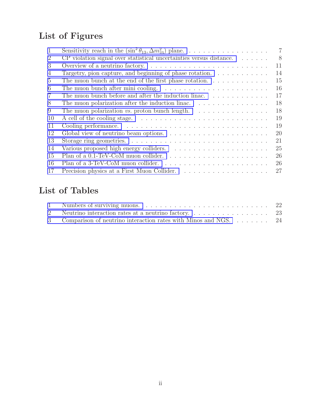# List of Figures

| 1              | Sensitivity reach in the $(\sin^2 \theta_{13}, \Delta m_{23}^2)$ plane.                    | $\overline{7}$ |
|----------------|--------------------------------------------------------------------------------------------|----------------|
| $\overline{2}$ | $CP$ violation signal over statistical uncertainties versus distance. $\ldots \ldots$      | 8              |
| 3              |                                                                                            | 11             |
| 4              | Targetry, pion capture, and beginning of phase rotation. $\ldots \ldots \ldots \ldots$     | 14             |
| $\overline{5}$ | The muon bunch at the end of the first phase rotation. $\dots \dots \dots \dots$           | 15             |
| 6              | The muon bunch after mini cooling. $\dots \dots \dots \dots \dots \dots \dots \dots \dots$ | 16             |
| 7              | The muon bunch before and after the induction linac.                                       | 17             |
| 8              | The muon polarization after the induction linac. $\ldots \ldots \ldots \ldots \ldots$      | 18             |
| 9              | The muon polarization <i>vs.</i> proton bunch length. $\ldots \ldots \ldots \ldots \ldots$ | 18             |
| 10             |                                                                                            | 19             |
| 11             |                                                                                            | 19             |
| 12             |                                                                                            | 20             |
| 13             |                                                                                            | 21             |
| 14             |                                                                                            | 25             |
| 15             |                                                                                            | 26             |
| 16             |                                                                                            | 26             |
| 17             |                                                                                            | 27             |

# List of Tables

| 3 Comparison of neutrino interaction rates with Minos and NGS 24 |  |  |  |  |
|------------------------------------------------------------------|--|--|--|--|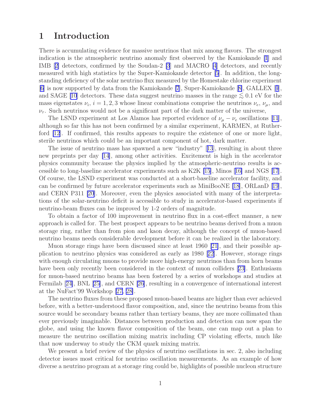## <span id="page-6-0"></span>1 Introduction

There is accumulating evidence for massive neutrinos that mix among flavors. The strongest indication is the atmospheric neutrino anomaly first observed by the Kamiokande [\[1](#page-41-0)] and IMB[[2\]](#page-41-0) detectors, confirmed by the Soudan-2 [\[3](#page-41-0)] and MACRO [\[4](#page-41-0)] detectors, and recently measured with high statistics by the Super-Kamiokande detector [\[5](#page-41-0)]. In addition, the longstanding deficiency of the solar neutrino flux measured by the Homestake chlorine experiment [\[6](#page-41-0)] is now supported by data from the Kamiokande [\[7](#page-41-0)], Super-Kamiokande[[8\]](#page-42-0), GALLEX[[9](#page-42-0)], and SAGE [\[10](#page-42-0)] detectors. These data suggest neutrino masses in the range  $\lesssim 0.1$  eV for the mass eigenstates  $\nu_i$ ,  $i = 1, 2, 3$  whose linear combinations comprise the neutrinos  $\nu_e$ ,  $\nu_\mu$ , and  $\nu_{\tau}$ . Such neutrinos would not be a significant part of the dark matter of the universe,

TheLSND experiment at Los Alamos has reported evidence of  $\nu_{\mu} - \nu_{e}$  oscillations [[11](#page-42-0)], although so far this has not been confirmed by a similar experiment, KARMEN, at Ruther-ford [\[12](#page-42-0)]. If confirmed, this results appears to require the existence of one or more light, sterile neutrinos which could be an important component of hot, dark matter.

The issue of neutrino mass has spawned a new "industry"[[13](#page-42-0)], resulting in about three new preprints per day [\[14](#page-42-0)], among other activities. Excitement is high in the accelerator physics community because the physics implied by the atmospheric-neutrino results is accessible to long-baseline accelerator experiments such as K2K [\[15](#page-42-0)], Minos[[16\]](#page-42-0) and NGS[[17](#page-42-0)]. Of course, the LSND experiment was conducted at a short-baseline accelerator facility, and can be confirmed by future accelerator experiments such as MiniBooNE [\[18](#page-42-0)], ORLanD[[19](#page-43-0)], and CERN P311 [\[20](#page-43-0)]. Moreover, even the physics associated with many of the interpretations of the solar-neutrino deficit is accessible to study in accelerator-based experiments if neutrino-beam fluxes can be improved by 1-2 orders of magnitude.

To obtain a factor of 100 improvement in neutrino flux in a cost-effect manner, a new approach is called for. The best prospect appears to be neutrino beams derived from a muon storage ring, rather than from pion and kaon decay, although the concept of muon-based neutrino beams needs considerable development before it can be realized in the laboratory.

Muon storage rings have been discussed since at least 1960 [\[21\]](#page-43-0), and their possible application to neutrino physics was considered as early as 1980[[22\]](#page-43-0). However, storage rings with enough circulating muons to provide more high-energy neutrinos than from horn beams have been only recently been considered in the context of muon colliders[[23\]](#page-43-0). Enthusiasm for muon-based neutrino beams has been fostered by a series of workshops and studies at Fermilab[[24\]](#page-43-0), BNL [\[25\]](#page-43-0), and CERN [\[26](#page-43-0)], resulting in a convergence of international interest at the NuFact'99 Workshop [\[27, 28\]](#page-43-0).

The neutrino fluxes from these proposed muon-based beams are higher than ever achieved before, with a better-understood flavor composition, and, since the neutrino beams from this source would be secondary beams rather than tertiary beams, they are more collimated than ever previously imaginable. Distances between production and detection can now span the globe, and using the known flavor composition of the beam, one can map out a plan to measure the neutrino oscillation mixing matrix including CP violating effects, much like that now underway to study the CKM quark mixing matrix.

We present a brief review of the physics of neutrino oscillations in sec. 2, also including detector issues most critical for neutrino oscillation measurements. As an example of how diverse a neutrino program at a storage ring could be, highlights of possible nucleon structure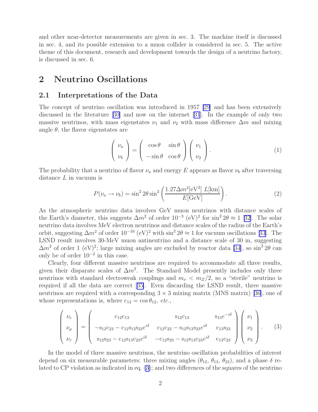<span id="page-7-0"></span>and other near-detector measurements are given in sec. 3. The machine itself is discussed in sec. 4, and its possible extension to a muon collider is considered in sec. 5. The active theme of this document, research and development towards the design of a neutrino factory, is discussed in sec. 6.

## 2 Neutrino Oscillations

#### 2.1 Interpretations of the Data

The concept of neutrino oscillation was introduced in 1957 [\[29](#page-43-0)] and has been extensively discussed in the literature [\[30\]](#page-43-0) and now on the internet[[31](#page-43-0)]. In the example of only two massive neutrinos, with mass eigenstates  $\nu_1$  and  $\nu_2$  with mass difference  $\Delta m$  and mixing angle  $\theta$ , the flavor eigenstates are

$$
\begin{pmatrix} \nu_a \\ \nu_b \end{pmatrix} = \begin{pmatrix} \cos \theta & \sin \theta \\ -\sin \theta & \cos \theta \end{pmatrix} \begin{pmatrix} \nu_1 \\ \nu_2 \end{pmatrix}.
$$
 (1)

The probability that a neutrino of flavor  $\nu_a$  and energy E appears as flavor  $\nu_b$  after traversing distance L in vacuum is

$$
P(\nu_a \to \nu_b) = \sin^2 2\theta \sin^2 \left(\frac{1.27 \Delta m^2 [\text{eV}^2] \ L[\text{km}]}{E[\text{GeV}]} \right). \tag{2}
$$

As the atmospheric neutrino data involves GeV muon neutrinos with distance scales of theEarth's diameter, this suggests  $\Delta m^2$  of order  $10^{-3}$  (eV)<sup>2</sup> for sin<sup>2</sup> 2 $\theta \approx 1$  [[32](#page-44-0)]. The solar neutrino data involves MeV electron neutrinos and distance scales of the radius of the Earth's orbit,suggesting  $\Delta m^2$  of order  $10^{-10}$  (eV)<sup>2</sup> with sin<sup>2</sup> 2 $\theta \approx 1$  for vacuum oscillations [[33](#page-44-0)]. The LSND result involves 30-MeV muon antineutrino and a distance scale of 30 m, suggesting  $\Delta m^2$  of order 1 (eV)<sup>2</sup>; large mixing angles are excluded by reactor data [\[34](#page-44-0)], so sin<sup>2</sup> 2 $\theta$  can only be of order  $10^{-2}$  in this case.

Clearly, four different massive neutrinos are required to accommodate all three results, given their disparate scales of  $\Delta m^2$ . The Standard Model presently includes only three neutrinos with standard electroweak couplings and  $m_{\nu} < m_Z/2$ , so a "sterile" neutrino is required if all the data are correct[[35\]](#page-44-0). Even discarding the LSND result, three massive neutrinos are required with a corresponding  $3 \times 3$  mixing matrix (MNS matrix) [\[36\]](#page-44-0), one of whose representations is, where  $c_{12} = \cos \theta_{12}$ , etc.,

$$
\begin{pmatrix}\n\nu_e \\
\nu_\mu \\
\nu_\tau\n\end{pmatrix} = \begin{pmatrix}\n\text{c}_{12}\text{c}_{13} & \text{s}_{12}\text{c}_{13} & \text{s}_{13}e^{-i\delta} \\
-\text{s}_{12}\text{c}_{23} - \text{c}_{12}\text{s}_{13}\text{s}_{23}e^{i\delta} & \text{c}_{12}\text{c}_{23} - \text{s}_{12}\text{s}_{13}\text{s}_{23}e^{i\delta} & \text{c}_{13}\text{s}_{23} \\
\text{s}_{12}\text{s}_{23} - \text{c}_{12}\text{s}_{13}\text{c}_{23}e^{i\delta} & -\text{c}_{12}\text{s}_{23} - \text{s}_{12}\text{s}_{13}\text{c}_{23}e^{i\delta} & \text{c}_{13}\text{c}_{23}\n\end{pmatrix}\n\begin{pmatrix}\n\nu_1 \\
\nu_2 \\
\nu_3\n\end{pmatrix}.\n\tag{3}
$$

In the model of three massive neutrinos, the neutrino oscillation probabilities of interest depend on six measurable parameters: three mixing angles  $(\theta_{12}, \theta_{13}, \theta_{23})$ , and a phase  $\delta$  related to CP violation as indicated in eq. (3); and two differences of the squares of the neutrino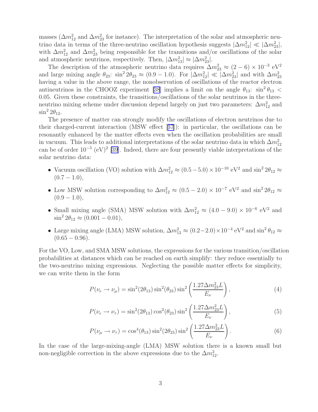<span id="page-8-0"></span>masses ( $\Delta m_{12}^2$  and  $\Delta m_{23}^2$  for instance). The interpretation of the solar and atmospheric neutrino data in terms of the three-neutrino oscillation hypothesis suggests  $|\Delta m_{12}^2| \ll |\Delta m_{23}^2|$ , with  $\Delta m_{12}^2$  and  $\Delta m_{23}^2$  being responsible for the transitions and/or oscillations of the solar and atmospheric neutrinos, respectively. Then,  $|\Delta m_{13}^2| \approx |\Delta m_{23}^2|$ .

The description of the atmospheric neutrino data requires  $\Delta m_{23}^2 \approx (2-6) \times 10^{-3} \text{ eV}^2$ and large mixing angle  $\theta_{23}$ :  $\sin^2 2\theta_{23} \approx (0.9 - 1.0)$ . For  $|\Delta m_{12}^2| \ll |\Delta m_{23}^2|$  and with  $\Delta m_{23}^2$ having a value in the above range, the nonobservation of oscillations of the reactor electron antineutrinos in the CHOOZ experiment [\[38](#page-44-0)] implies a limit on the angle  $\theta_{13}$ :  $\sin^2 \theta_{13}$  < 0.05. Given these constraints, the transitions/oscillations of the solar neutrinos in the threeneutrino mixing scheme under discussion depend largely on just two parameters:  $\Delta m_{12}^2$  and  $\sin^2 2\theta_{12}$ .

The presence of matter can strongly modify the oscillations of electron neutrinos due to their charged-current interaction (MSW effect[[37](#page-44-0)]): in particular, the oscillations can be resonantly enhanced by the matter effects even when the oscillation probabilities are small in vacuum. This leads to additional interpretations of the solar neutrino data in which  $\Delta m_{12}^2$  can be of order  $10^{-5}$  (eV)<sup>2</sup> [\[39\]](#page-44-0). Indeed, there are four presently viable interpretations of the solar neutrino data:

- Vacuum oscillation (VO) solution with  $\Delta m_{12}^2 \approx (0.5-5.0) \times 10^{-10} \text{ eV}^2$  and  $\sin^2 2\theta_{12} \approx$  $(0.7 - 1.0),$
- Low MSW solution corresponding to  $\Delta m_{12}^2 \approx (0.5 2.0) \times 10^{-7}$  eV<sup>2</sup> and sin<sup>2</sup> 2 $\theta_{12} \approx$  $(0.9 - 1.0),$
- Small mixing angle (SMA) MSW solution with  $\Delta m_{12}^2 \approx (4.0 9.0) \times 10^{-6}$  eV<sup>2</sup> and  $\sin^2 2\theta_{12} \approx (0.001 - 0.01),$
- Large mixing angle (LMA) MSW solution,  $\Delta m_{12}^2 \approx (0.2-2.0) \times 10^{-4} \text{ eV}^2$  and  $\sin^2 \theta_{12} \approx$  $(0.65 - 0.96).$

For the VO, Low, and SMA MSW solutions, the expressions for the various transition/oscillation probabilities at distances which can be reached on earth simplify: they reduce essentially to the two-neutrino mixing expressions. Neglecting the possible matter effects for simplicity, we can write them in the form

$$
P(\nu_e \to \nu_\mu) = \sin^2(2\theta_{13})\sin^2(\theta_{23})\sin^2\left(\frac{1.27\Delta m_{23}^2 L}{E_\nu}\right),\tag{4}
$$

$$
P(\nu_e \to \nu_\tau) = \sin^2(2\theta_{13}) \cos^2(\theta_{23}) \sin^2\left(\frac{1.27\Delta m_{23}^2 L}{E_\nu}\right),\tag{5}
$$

$$
P(\nu_{\mu} \to \nu_{\tau}) = \cos^4(\theta_{13}) \sin^2(2\theta_{23}) \sin^2\left(\frac{1.27\Delta m_{23}^2 L}{E_{\nu}}\right). \tag{6}
$$

In the case of the large-mixing-angle (LMA) MSW solution there is a known small but non-negligible correction in the above expressions due to the  $\Delta m_{12}^2$ .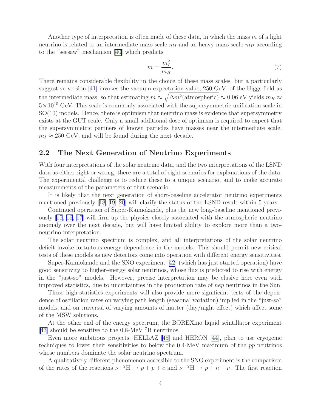<span id="page-9-0"></span>Another type of interpretation is often made of these data, in which the mass  $m$  of a light neutrino is related to an intermediate mass scale  $m_I$  and an heavy mass scale  $m_H$  according to the "seesaw" mechanism [\[40\]](#page-45-0) which predicts

$$
m = \frac{m_I^2}{m_H}.\tag{7}
$$

There remains considerable flexibility in the choice of these mass scales, but a particularly suggestive version[[41\]](#page-45-0) invokes the vacuum expectation value, 250 GeV, of the Higgs field as the intermediate mass, so that estimating  $m \approx \sqrt{\Delta m^2(\text{atmospheric})} \approx 0.06$  eV yields  $m_H \approx$  $5 \times 10^{15}$  GeV. This scale is commonly associated with the supersymmetric unification scale in SO(10) models. Hence, there is optimism that neutrino mass is evidence that supersymmetry exists at the GUT scale. Only a small additional dose of optimism is required to expect that the supersymmetric partners of known particles have masses near the intermediate scale,  $m<sub>I</sub> \approx 250$  GeV, and will be found during the next decade.

### 2.2 The Next Generation of Neutrino Experiments

With four interpretations of the solar neutrino data, and the two interpretations of the LSND data as either right or wrong, there are a total of eight scenarios for explanations of the data. The experimental challenge is to reduce these to a unique scenario, and to make accurate measurements of the parameters of that scenario.

It is likely that the next generation of short-baseline accelerator neutrino experiments mentioned previously [\[18,](#page-42-0) [19, 20](#page-43-0)] will clarify the status of the LSND result within 5 years.

Continued operation of Super-Kamiokande, plus the new long-baseline mentioned previously[[15](#page-42-0), [16, 17\]](#page-42-0) will firm up the physics closely associated with the atmospheric neutrino anomaly over the next decade, but will have limited ability to explore more than a twoneutrino interpretation.

The solar neutrino spectrum is complex, and all interpretations of the solar neutrino deficit invoke fortuitous energy dependence in the models. This should permit new critical tests of these models as new detectors come into operation with different energy sensitivities.

Super-Kamiokande and the SNO experiment[[42](#page-45-0)] (which has just started operation) have good sensitivity to higher-energy solar neutrinos, whose flux is predicted to rise with energy in the "just-so" models. However, precise interpretation may be elusive here even with improved statistics, due to uncertainties in the production rate of hep neutrinos in the Sun.

These high-statistics experiments will also provide more-significant tests of the dependence of oscillation rates on varying path length (seasonal variation) implied in the "just-so" models, and on traversal of varying amounts of matter (day/night effect) which affect some of the MSW solutions.

At the other end of the energy spectrum, the BOREXino liquid scintillator experiment [\[43\]](#page-45-0) should be sensitive to the 0.8-MeV <sup>7</sup>B neutrinos.

Even more ambitious projects, HELLAZ[[45\]](#page-45-0) and HERON [\[44\]](#page-45-0), plan to use cryogenic techniques to lower their sensitivities to below the 0.4-MeV maximum of the pp neutrinos whose numbers dominate the solar neutrino spectrum.

A qualitatively different phenomenon accessible to the SNO experiment is the comparison of the rates of the reactions  $\nu+^2H \to p+p+e$  and  $\nu+^2H \to p+n+\nu$ . The first reaction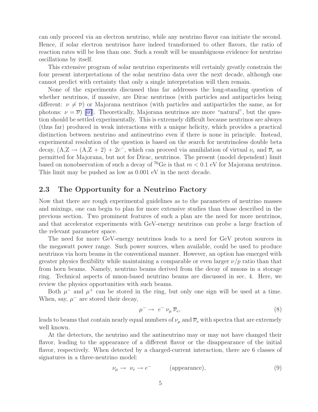<span id="page-10-0"></span>can only proceed via an electron neutrino, while any neutrino flavor can initiate the second. Hence, if solar electron neutrinos have indeed transformed to other flavors, the ratio of reaction rates will be less than one. Such a result will be unambiguous evidence for neutrino oscillations by itself.

This extensive program of solar neutrino experiments will certainly greatly constrain the four present interpretations of the solar neutrino data over the next decade, although one cannot predict with certainty that only a single interpretation will then remain.

None of the experiments discussed thus far addresses the long-standing question of whether neutrinos, if massive, are Dirac neutrinos (with particles and antiparticles being different:  $\nu \neq \overline{\nu}$ ) or Majorana neutrinos (with particles and antiparticles the same, as for photons: $\nu = \overline{\nu}$  [[46](#page-45-0)]. Theoretically, Majorana neutrinos are more "natural", but the question should be settled experimentally. This is extremely difficult because neutrinos are always (thus far) produced in weak interactions with a unique helicity, which provides a practical distinction between neutrino and antineutrino even if there is none in principle. Instead, experimental resolution of the question is based on the search for neutrinoless double beta decay,  $(A,Z \rightarrow (A,Z + 2) + 2e^{-}$ , which can proceed via annihilation of virtual  $\nu_e$  and  $\overline{\nu}_e$  as permitted for Majorana, but not for Dirac, neutrinos. The present (model dependent) limit based on nonobservation of such a decay of  $^{76}$ Ge is that  $m < 0.1$  eV for Majorana neutrinos. This limit may be pushed as low as 0.001 eV in the next decade.

### 2.3 The Opportunity for a Neutrino Factory

Now that there are rough experimental guidelines as to the parameters of neutrino masses and mixings, one can begin to plan for more extensive studies than those described in the previous section. Two prominent features of such a plan are the need for more neutrinos, and that accelerator experiments with GeV-energy neutrinos can probe a large fraction of the relevant parameter space.

The need for more GeV-energy neutrinos leads to a need for GeV proton sources in the megawatt power range. Such power sources, when available, could be used to produce neutrinos via horn beams in the conventional manner. However, an option has emerged with greater physics flexibility while maintaining a comparable or even larger  $\nu/p$  ratio than that from horn beams. Namely, neutrino beams derived from the decay of muons in a storage ring. Technical aspects of muon-based neutrino beams are discussed in sec. 4. Here, we review the physics opportunities with such beams.

Both  $\mu^-$  and  $\mu^+$  can be stored in the ring, but only one sign will be used at a time. When, say,  $\mu^-$  are stored their decay,

$$
\mu^- \to e^- \nu_\mu \overline{\nu}_e,\tag{8}
$$

leads to beams that contain nearly equal numbers of  $\nu_{\mu}$  and  $\overline{\nu}_{e}$  with spectra that are extremely well known.

At the detectors, the neutrino and the antineutrino may or may not have changed their flavor, leading to the appearance of a different flavor or the disappearance of the initial flavor, respectively. When detected by a charged-current interaction, there are 6 classes of signatures in a three-neutrino model:

$$
\nu_{\mu} \to \nu_{e} \to e^{-} \qquad \text{(appearance)}, \tag{9}
$$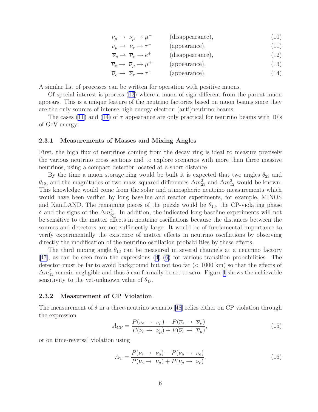|                                                   |                  | (10) |
|---------------------------------------------------|------------------|------|
| $\nu_{\mu} \rightarrow \nu_{\mu} \rightarrow \mu$ | (disappearance), |      |

 $\nu_\mu \rightarrow \nu_\tau \rightarrow \tau^ (a \text{ppearance})$ ,  $(11)$ 

 $\overline{\nu}_e \rightarrow \overline{\nu}_e \rightarrow e^+$  $(disappearance),$  (12)

 $\overline{\nu}_e \rightarrow \overline{\nu}_\mu \rightarrow \mu^+$  $(\text{appearance}),$  (13)

$$
\overline{\nu}_e \to \overline{\nu}_\tau \to \tau^+ \qquad \text{(appearance)}.\tag{14}
$$

<span id="page-11-0"></span>A similar list of processes can be written for operation with positive muons.

Of special interest is process ([13](#page-10-0)) where a muon of sign different from the parent muon appears. This is a unique feature of the neutrino factories based on muon beams since they are the only sources of intense high energy electron (anti)neutrino beams.

The cases [\(11](#page-10-0)) and ([14\)](#page-10-0) of  $\tau$  appearance are only practical for neutrino beams with 10's of GeV energy.

#### 2.3.1 Measurements of Masses and Mixing Angles

First, the high flux of neutrinos coming from the decay ring is ideal to measure precisely the various neutrino cross sections and to explore scenarios with more than three massive neutrinos, using a compact detector located at a short distance.

By the time a muon storage ring would be built it is expected that two angles  $\theta_{23}$  and  $\theta_{12}$ , and the magnitudes of two mass squared differences  $\Delta m^2_{23}$  and  $\Delta m^2_{12}$  would be known. This knowledge would come from the solar and atmospheric neutrino measurements which would have been verified by long baseline and reactor experiments, for example, MINOS and KamLAND. The remaining pieces of the puzzle would be  $\theta_{13}$ , the CP-violating phase δ and the signs of the  $\Delta m_{ij}^2$ . In addition, the indicated long-baseline experiments will not be sensitive to the matter effects in neutrino oscillations because the distances between the sources and detectors are not sufficiently large. It would be of fundamental importance to verify experimentally the existence of matter effects in neutrino oscillations by observing directly the modification of the neutrino oscillation probabilities by these effects.

The third mixing angle  $\theta_{13}$  can be measured in several channels at a neutrino factory [\[47\]](#page-45-0), as can be seen from the expressions [\(4](#page-8-0))-[\(6](#page-8-0)) for various transition probabilities. The detector must be far to avoid background but not too far (< 1000 km) so that the effects of  $\Delta m_{12}^2$  remain negligible and thus  $\delta$  can formally be set to zero. Figure [1](#page-12-0) shows the achievable sensitivity to the yet-unknown value of  $\theta_{13}$ .

#### 2.3.2 Measurement of CP Violation

The measurement of  $\delta$  in a three-neutrino scenario [\[48\]](#page-45-0) relies either on CP violation through the expression

$$
A_{\rm CP} = \frac{P(\nu_e \to \nu_\mu) - P(\overline{\nu}_e \to \overline{\nu}_\mu)}{P(\nu_e \to \nu_\mu) + P(\overline{\nu}_e \to \overline{\nu}_\mu)},\tag{15}
$$

or on time-reversal violation using

$$
A_{\rm T} = \frac{P(\nu_e \to \nu_\mu) - P(\nu_\mu \to \nu_e)}{P(\nu_e \to \nu_\mu) + P(\nu_\mu \to \nu_e)}.
$$
\n(16)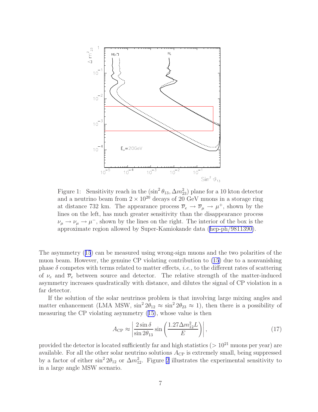<span id="page-12-0"></span>

Figure 1: Sensitivity reach in the  $(\sin^2 \theta_{13}, \Delta m_{23}^2)$  plane for a 10 kton detector and a neutrino beam from  $2 \times 10^{20}$  decays of 20 GeV muons in a storage ring at distance 732 km. The appearance process  $\overline{\nu}_e \to \overline{\nu}_\mu \to \mu^+$ , shown by the lines on the left, has much greater sensitivity than the disappearance process  $\nu_{\mu} \rightarrow \nu_{\mu} \rightarrow \mu^{-}$ , shown by the lines on the right. The interior of the box is the approximate region allowed by Super-Kamiokande data ([hep-ph/9811390\)](http://arXiv.org/abs/hep-ph/9811390).

The asymmetry ([15](#page-11-0)) can be measured using wrong-sign muons and the two polarities of the muon beam. However, the genuine CP violating contribution to [\(15](#page-11-0)) due to a nonvanishing phase  $\delta$  competes with terms related to matter effects, *i.e.*, to the different rates of scattering of  $\nu_e$  and  $\overline{\nu}_e$  between source and detector. The relative strength of the matter-induced asymmetry increases quadratically with distance, and dilutes the signal of CP violation in a far detector.

If the solution of the solar neutrinos problem is that involving large mixing angles and matter enhancement (LMA MSW,  $\sin^2 2\theta_{12} \approx \sin^2 2\theta_{23} \approx 1$ ), then there is a possibility of measuring the CP violating asymmetry ([15\)](#page-11-0), whose value is then

$$
A_{\rm CP} \approx \left| \frac{2 \sin \delta}{\sin 2\theta_{13}} \sin \left( \frac{1.27 \Delta m_{12}^2 L}{E} \right) \right|,\tag{17}
$$

provided the detector is located sufficiently far and high statistics ( $> 10^{21}$  muons per year) are available. For all the other solar neutrino solutions  $A_{\rm CP}$  is extremely small, being suppressed by a factor of either  $\sin^2 2\theta_{12}$  $\sin^2 2\theta_{12}$  $\sin^2 2\theta_{12}$  or  $\Delta m_{12}^2$ . Figure 2 illustrates the experimental sensitivity to in a large angle MSW scenario.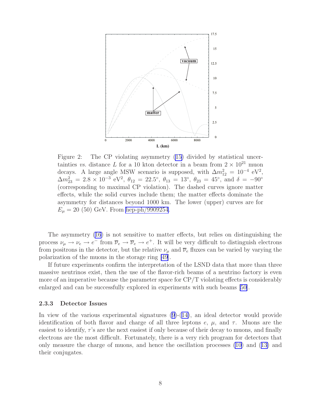<span id="page-13-0"></span>

Figure 2: The CP violating asymmetry [\(15\)](#page-11-0) divided by statistical uncertainties vs. distance L for a 10 kton detector in a beam from  $2 \times 10^{21}$  muon decays. A large angle MSW scenario is supposed, with  $\Delta m_{12}^2 = 10^{-4} \text{ eV}^2$ ,  $\Delta m_{23}^2 = 2.8 \times 10^{-3} \text{ eV}^2$ ,  $\theta_{12} = 22.5^\circ$ ,  $\theta_{13} = 13^\circ$ ,  $\theta_{23} = 45^\circ$ , and  $\delta = -90^\circ$ (corresponding to maximal CP violation). The dashed curves ignore matter effects, while the solid curves include them; the matter effects dominate the asymmetry for distances beyond 1000 km. The lower (upper) curves are for  $E_{\mu} = 20$  (50) GeV. From [hep-ph/9909254](http://arXiv.org/abs/hep-ph/9909254).

The asymmetry [\(16](#page-11-0)) is not sensitive to matter effects, but relies on distinguishing the process  $\nu_{\mu} \to \nu_{e} \to e^{-}$  from  $\overline{\nu}_{e} \to \overline{\nu}_{e} \to e^{+}$ . It will be very difficult to distinguish electrons from positrons in the detector, but the relative  $\nu_{\mu}$  and  $\overline{\nu}_{e}$  fluxes can be varied by varying the polarization of the muons in the storage ring [\[49](#page-46-0)].

If future experiments confirm the interpretation of the LSND data that more than three massive neutrinos exist, then the use of the flavor-rich beams of a neutrino factory is even more of an imperative because the parameter space for CP/T violating effects is considerably enlarged and can be successfully explored in experiments with such beams [\[50\]](#page-46-0).

#### 2.3.3 Detector Issues

In view of the various experimental signatures  $(9)-(14)$  $(9)-(14)$  $(9)-(14)$  $(9)-(14)$ , an ideal detector would provide identification of both flavor and charge of all three leptons  $e, \mu$ , and  $\tau$ . Muons are the easiest to identify,  $\tau$ 's are the next easiest if only because of their decay to muons, and finally electrons are the most difficult. Fortunately, there is a very rich program for detectors that only measure the charge of muons, and hence the oscillation processes [\(10](#page-10-0)) and ([13\)](#page-10-0) and their conjugates.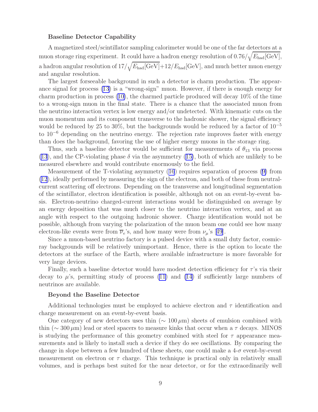#### Baseline Detector Capability

A magnetized steel/scintillator sampling calorimeter would be one of the far detectors at a muon storage ring experiment. It could have a hadron energy resolution of  $0.76/\sqrt{E_{\text{had}}[\text{GeV}]}$ , a hadron angular resolution of  $17/\sqrt{E_{\text{had}}[\text{GeV}]}+12/E_{\text{had}}[\text{GeV}],$  and much better muon energy and angular resolution.

The largest forseeable background in such a detector is charm production. The appearance signal for process [\(13](#page-10-0)) is a "wrong-sign" muon. However, if there is enough energy for charm production in process [\(10\)](#page-10-0), the charmed particle produced will decay 10% of the time to a wrong-sign muon in the final state. There is a chance that the associated muon from the neutrino interaction vertex is low energy and/or undetected. With kinematic cuts on the muon momentum and its component transverse to the hadronic shower, the signal efficiency would be reduced by 25 to 30%, but the backgrounds would be reduced by a factor of  $10^{-5}$ to  $10^{-6}$  depending on the neutrino energy. The rejection rate improves faster with energy than does the background, favoring the use of higher energy muons in the storage ring.

Thus, such a baseline detector would be sufficient for measurements of  $\theta_{13}$  via process  $(13)$  $(13)$ , and the CP-violating phase  $\delta$  via the asymmetry  $(15)$  $(15)$ , both of which are unlikely to be measured elsewhere and would contribute enormously to the field.

Measurement of the T-violating asymmetry ([16](#page-11-0)) requires separation of process ([9\)](#page-10-0) from [\(12](#page-10-0)), ideally performed by measuring the sign of the electron, and both of these from neutralcurrent scattering off electrons. Depending on the transverse and longitudinal segmentation of the scintillator, electron identification is possible, although not on an event-by-event basis. Electron-neutrino charged-current interactions would be distinguished on average by an energy deposition that was much closer to the neutrino interaction vertex, and at an angle with respect to the outgoing hadronic shower. Charge identification would not be possible, although from varying the polarization of the muon beam one could see how many electron-likeevents were from  $\overline{\nu}_e$ 's, and how many were from  $\nu_\mu$ 's [[49](#page-46-0)].

Since a muon-based neutrino factory is a pulsed device with a small duty factor, cosmicray backgrounds will be relatively unimportant. Hence, there is the option to locate the detectors at the surface of the Earth, where available infrastructure is more favorable for very large devices.

Finally, such a baseline detector would have modest detection efficiency for  $\tau$ 's via their decay to  $\mu$ 's, permitting study of process ([11\)](#page-10-0) and [\(14](#page-10-0)) if sufficiently large numbers of neutrinos are available.

#### Beyond the Baseline Detector

Additional technologies must be employed to achieve electron and  $\tau$  identification and charge measurement on an event-by-event basis.

One category of new detectors uses thin ( $\sim 100 \,\mu$ m) sheets of emulsion combined with thin ( $\sim 300 \,\mu$ m) lead or steel spacers to measure kinks that occur when a  $\tau$  decays. MINOS is studying the performance of this geometry combined with steel for  $\tau$  appearance measurements and is likely to install such a device if they do see oscillations. By comparing the change in slope between a few hundred of these sheets, one could make a  $4-\sigma$  event-by-event measurement on electron or  $\tau$  charge. This technique is practical only in relatively small volumes, and is perhaps best suited for the near detector, or for the extraordinarily well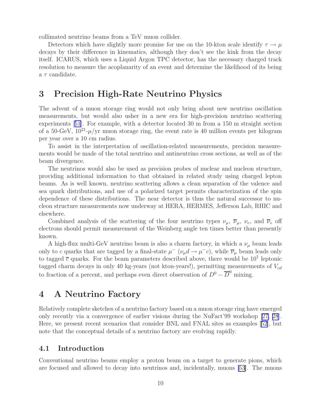<span id="page-15-0"></span>collimated neutrino beams from a TeV muon collider.

Detectors which have slightly more promise for use on the 10-kton scale identify  $\tau \to \mu$ decays by their difference in kinematics, although they don't see the kink from the decay itself. ICARUS, which uses a Liquid Argon TPC detector, has the necessary charged track resolution to measure the acoplanarity of an event and determine the likelihood of its being a  $\tau$  candidate.

## 3 Precision High-Rate Neutrino Physics

The advent of a muon storage ring would not only bring about new neutrino oscillation measurements, but would also usher in a new era for high-precision neutrino scattering experiments[[51](#page-46-0)]. For example, with a detector located 30 m from a 150 m straight section of a 50-GeV,  $10^{21}$ - $\mu$ /yr muon storage ring, the event rate is 40 million events per kilogram per year over a 10 cm radius.

To assist in the interpretation of oscillation-related measurements, precision measurements would be made of the total neutrino and antineutrino cross sections, as well as of the beam divergence.

The neutrinos would also be used as precision probes of nuclear and nucleon structure, providing additional information to that obtained in related study using charged lepton beams. As is well known, neutrino scattering allows a clean separation of the valence and sea quark distributions, and use of a polarized target permits characterization of the spin dependence of these distributions. The near detector is thus the natural successor to nucleon structure measurements now underway at HERA, HERMES, Jefferson Lab, RHIC and elsewhere.

Combined analysis of the scattering of the four neutrino types  $\nu_{\mu}$ ,  $\overline{\nu}_{\mu}$ ,  $\nu_{e}$ , and  $\overline{\nu}_{e}$  off electrons should permit measurement of the Weinberg angle ten times better than presently known.

A high-flux multi-GeV neutrino beam is also a charm factory, in which a  $\nu_{\mu}$  beam leads only to c quarks that are tagged by a final-state  $\mu^ (\nu_\mu d \to \mu^- c)$ , while  $\overline{\nu}_\mu$  beam leads only to tagged  $\bar{c}$  quarks. For the beam parameters described above, there would be  $10^7$  leptonic tagged charm decays in only 40 kg-years (not kton-years!), permitting measurements of  $V_{cd}$ to fraction of a percent, and perhaps even direct observation of  $D^0 - \overline{D}^0$  mixing.

## 4 A Neutrino Factory

Relatively complete sketches of a neutrino factory based on a muon storage ring have emerged only recently via a convergence of earlier visions during the NuFact'99 workshop[[27, 28](#page-43-0)]. Here, we present recent scenarios that consider BNL and FNAL sites as examples[[52\]](#page-46-0), but note that the conceptual details of a neutrino factory are evolving rapidly.

#### 4.1 Introduction

Conventional neutrino beams employ a proton beam on a target to generate pions, which are focused and allowed to decay into neutrinos and, incidentally, muons [\[53\]](#page-46-0). The muons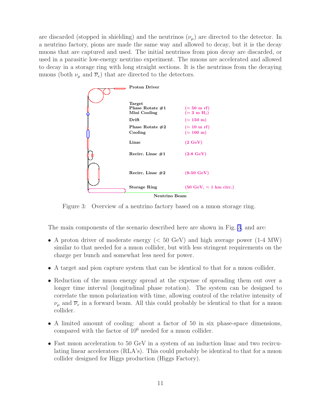<span id="page-16-0"></span>are discarded (stopped in shielding) and the neutrinos  $(\nu_{\mu})$  are directed to the detector. In a neutrino factory, pions are made the same way and allowed to decay, but it is the decay muons that are captured and used. The initial neutrinos from pion decay are discarded, or used in a parasitic low-energy neutrino experiment. The muons are accelerated and allowed to decay in a storage ring with long straight sections. It is the neutrinos from the decaying muons (both  $\nu_{\mu}$  and  $\overline{\nu}_{e}$ ) that are directed to the detectors.



Figure 3: Overview of a neutrino factory based on a muon storage ring.

The main components of the scenario described here are shown in Fig. 3, and are:

- A proton driver of moderate energy (< 50 GeV) and high average power (1-4 MW) similar to that needed for a muon collider, but with less stringent requirements on the charge per bunch and somewhat less need for power.
- A target and pion capture system that can be identical to that for a muon collider.
- Reduction of the muon energy spread at the expense of spreading them out over a longer time interval (longitudinal phase rotation). The system can be designed to correlate the muon polarization with time, allowing control of the relative intensity of  $\nu_{\mu}$  and  $\overline{\nu}_{e}$  in a forward beam. All this could probably be identical to that for a muon collider.
- A limited amount of cooling: about a factor of 50 in six phase-space dimensions, compared with the factor of  $10^6$  needed for a muon collider.
- Fast muon acceleration to 50 GeV in a system of an induction linac and two recirculating linear accelerators (RLA's). This could probably be identical to that for a muon collider designed for Higgs production (Higgs Factory).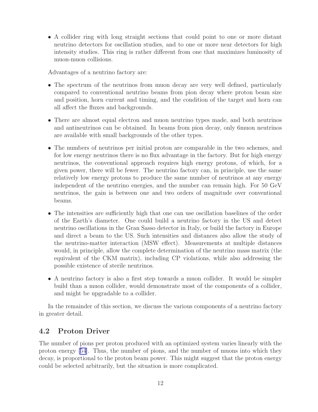<span id="page-17-0"></span>• A collider ring with long straight sections that could point to one or more distant neutrino detectors for oscillation studies, and to one or more near detectors for high intensity studies. This ring is rather different from one that maximizes luminosity of muon-muon collisions.

Advantages of a neutrino factory are:

- The spectrum of the neutrinos from muon decay are very well defined, particularly compared to conventional neutrino beams from pion decay where proton beam size and position, horn current and timing, and the condition of the target and horn can all affect the fluxes and backgrounds.
- There are almost equal electron and muon neutrino types made, and both neutrinos and antineutrinos can be obtained. In beams from pion decay, only 6muon neutrinos are available with small backgrounds of the other types.
- The numbers of neutrinos per initial proton are comparable in the two schemes, and for low energy neutrinos there is no flux advantage in the factory. But for high energy neutrinos, the conventional approach requires high energy protons, of which, for a given power, there will be fewer. The neutrino factory can, in principle, use the same relatively low energy protons to produce the same number of neutrinos at any energy independent of the neutrino energies, and the number can remain high. For 50 GeV neutrinos, the gain is between one and two orders of magnitude over conventional beams.
- The intensities are sufficiently high that one can use oscillation baselines of the order of the Earth's diameter. One could build a neutrino factory in the US and detect neutrino oscillations in the Gran Sasso detector in Italy, or build the factory in Europe and direct a beam to the US. Such intensities and distances also allow the study of the neutrino-matter interaction (MSW effect). Measurements at multiple distances would, in principle, allow the complete determination of the neutrino mass matrix (the equivalent of the CKM matrix), including CP violations, while also addressing the possible existence of sterile neutrinos.
- A neutrino factory is also a first step towards a muon collider. It would be simpler build than a muon collider, would demonstrate most of the components of a collider, and might be upgradable to a collider.

In the remainder of this section, we discuss the various components of a neutrino factory in greater detail.

## 4.2 Proton Driver

The number of pions per proton produced with an optimized system varies linearly with the proton energy [\[54\]](#page-46-0). Thus, the number of pions, and the number of muons into which they decay, is proportional to the proton beam power. This might suggest that the proton energy could be selected arbitrarily, but the situation is more complicated.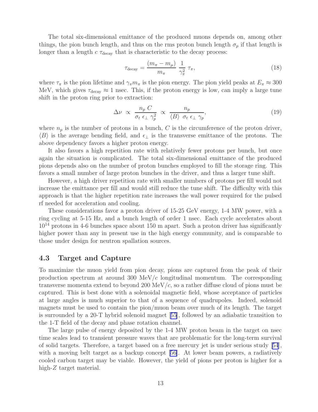<span id="page-18-0"></span>The total six-dimensional emittance of the produced muons depends on, among other things, the pion bunch length, and thus on the rms proton bunch length  $\sigma_p$  if that length is longer than a length  $c \tau_{\text{decay}}$  that is characteristic to the decay process:

$$
\tau_{\text{decay}} = \frac{(m_{\pi} - m_{\mu})}{m_{\pi}} \frac{1}{\gamma_{\pi}^2} \tau_{\pi},\tag{18}
$$

where  $\tau_{\pi}$  is the pion lifetime and  $\gamma_{\pi} m_{\pi}$  is the pion energy. The pion yield peaks at  $E_{\pi} \approx 300$ MeV, which gives  $\tau_{\text{decay}} \approx 1$  nsec. This, if the proton energy is low, can imply a large tune shift in the proton ring prior to extraction:

$$
\Delta \nu \propto \frac{n_p C}{\sigma_t \epsilon_{\perp} \gamma_p^2} \propto \frac{n_p}{\langle B \rangle \sigma_t \epsilon_{\perp} \gamma_p},\tag{19}
$$

where  $n_p$  is the number of protons in a bunch, C is the circumference of the proton driver,  $\langle B \rangle$  is the average bending field, and  $\epsilon_{\perp}$  is the transverse emittance of the protons. The above dependency favors a higher proton energy.

It also favors a high repetition rate with relatively fewer protons per bunch, but once again the situation is complicated. The total six-dimensional emittance of the produced pions depends also on the number of proton bunches employed to fill the storage ring. This favors a small number of large proton bunches in the driver, and thus a larger tune shift.

However, a high driver repetition rate with smaller numbers of protons per fill would not increase the emittance per fill and would still reduce the tune shift. The difficulty with this approach is that the higher repetition rate increases the wall power required for the pulsed rf needed for acceleration and cooling.

These considerations favor a proton driver of 15-25 GeV energy, 1-4 MW power, with a ring cycling at 5-15 Hz, and a bunch length of order 1 nsec. Each cycle accelerates about  $10^{14}$  protons in 4-6 bunches space about 150 m apart. Such a proton driver has significantly higher power than any in present use in the high energy community, and is comparable to those under design for neutron spallation sources.

## 4.3 Target and Capture

To maximize the muon yield from pion decay, pions are captured from the peak of their production spectrum at around 300 MeV/c longitudinal momentum. The corresponding transverse momenta extend to beyond 200 MeV/ $c$ , so a rather diffuse cloud of pions must be captured. This is best done with a solenoidal magnetic field, whose acceptance of particles at large angles is much superior to that of a sequence of quadrupoles. Indeed, solenoid magnets must be used to contain the pion/muon beam over much of its length. The target is surrounded by a 20-T hybrid solenoid magnet[[55](#page-46-0)], followed by an adiabatic transition to the 1-T field of the decay and phase rotation channel.

The large pulse of energy deposited by the 1-4 MW proton beam in the target on nsec time scales lead to transient pressure waves that are problematic for the long-term survival of solid targets. Therefore, a target based on a free mercury jet is under serious study[[54](#page-46-0)], with a moving belt target as a backup concept [\[56\]](#page-46-0). At lower beam powers, a radiatively cooled carbon target may be viable. However, the yield of pions per proton is higher for a high-Z target material.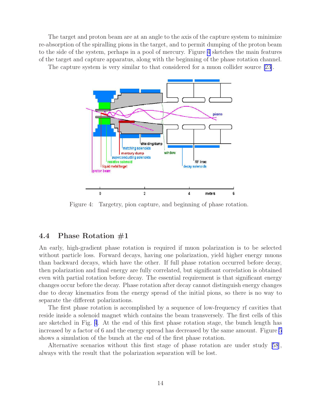<span id="page-19-0"></span>The target and proton beam are at an angle to the axis of the capture system to minimize re-absorption of the spiralling pions in the target, and to permit dumping of the proton beam to the side of the system, perhaps in a pool of mercury. Figure 4 sketches the main features of the target and capture apparatus, along with the beginning of the phase rotation channel. The capture system is very similar to that considered for a muon collider source [\[23](#page-43-0)].



Figure 4: Targetry, pion capture, and beginning of phase rotation.

## 4.4 Phase Rotation #1

An early, high-gradient phase rotation is required if muon polarization is to be selected without particle loss. Forward decays, having one polarization, yield higher energy muons than backward decays, which have the other. If full phase rotation occurred before decay, then polarization and final energy are fully correlated, but significant correlation is obtained even with partial rotation before decay. The essential requirement is that significant energy changes occur before the decay. Phase rotation after decay cannot distinguish energy changes due to decay kinematics from the energy spread of the initial pions, so there is no way to separate the different polarizations.

The first phase rotation is accomplished by a sequence of low-frequency rf cavities that reside inside a solenoid magnet which contains the beam transversely. The first cells of this are sketched in Fig. 4. At the end of this first phase rotation stage, the bunch length has increased by a factor of 6 and the energy spread has decreased by the same amount. Figure [5](#page-20-0) shows a simulation of the bunch at the end of the first phase rotation.

Alternative scenarios without this first stage of phase rotation are under study[[58](#page-46-0)], always with the result that the polarization separation will be lost.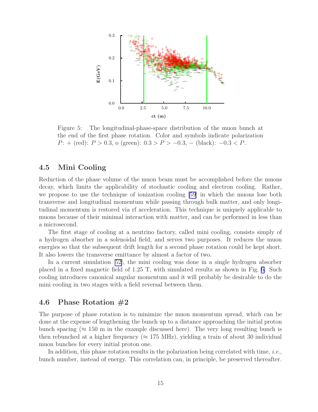<span id="page-20-0"></span>

Figure 5: The longitudinal-phase-space distribution of the muon bunch at the end of the first phase rotation. Color and symbols indicate polarization P: + (red):  $P > 0.3$ , o (green):  $0.3 > P > -0.3$ , – (black):  $-0.3 < P$ .

#### 4.5 Mini Cooling

Reduction of the phase volume of the muon beam must be accomplished before the muons decay, which limits the applicability of stochastic cooling and electron cooling. Rather, we propose to use the technique of ionization cooling [\[59](#page-46-0)] in which the muons lose both transverse and longitudinal momentum while passing through bulk matter, and only longitudinal momentum is restored via rf acceleration. This technique is uniquely applicable to muons because of their minimal interaction with matter, and can be performed in less than a microsecond.

The first stage of cooling at a neutrino factory, called mini cooling, consists simply of a hydrogen absorber in a solenoidal field, and serves two purposes. It reduces the muon energies so that the subsequent drift length for a second phase rotation could be kept short. It also lowers the transverse emittance by almost a factor of two.

In a current simulation[[52\]](#page-46-0), the mini cooling was done in a single hydrogen absorber placed in a fixed magnetic field of 1.25 T, with simulated results as shown in Fig. [6.](#page-21-0) Such cooling introduces canonical angular momentum and it will probably be desirable to do the mini cooling in two stages with a field reversal between them.

### 4.6 Phase Rotation #2

The purpose of phase rotation is to minimize the muon momentum spread, which can be done at the expense of lengthening the bunch up to a distance approaching the initial proton bunch spacing ( $\approx 150$  m in the example discussed here). The very long resulting bunch is then rebunched at a higher frequency ( $\approx 175$  MHz), yielding a train of about 30 individual muon bunches for every initial proton one.

In addition, this phase rotation results in the polarization being correlated with time, *i.e.*, bunch number, instead of energy. This correlation can, in principle, be preserved thereafter.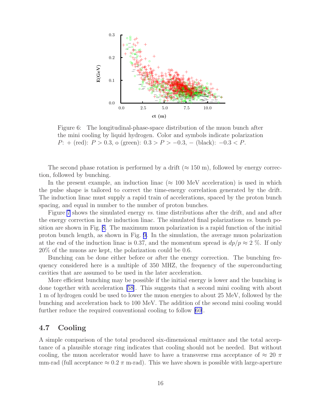<span id="page-21-0"></span>

Figure 6: The longitudinal-phase-space distribution of the muon bunch after the mini cooling by liquid hydrogen. Color and symbols indicate polarization P: + (red):  $P > 0.3$ , o (green):  $0.3 > P > -0.3$ , – (black):  $-0.3 < P$ .

The second phase rotation is performed by a drift ( $\approx 150$  m), followed by energy correction, followed by bunching.

In the present example, an induction linac ( $\approx 100$  MeV acceleration) is used in which the pulse shape is tailored to correct the time-energy correlation generated by the drift. The induction linac must supply a rapid train of accelerations, spaced by the proton bunch spacing, and equal in number to the number of proton bunches.

Figure [7](#page-22-0) shows the simulated energy vs. time distributions after the drift, and and after the energy correction in the induction linac. The simulated final polarizations  $vs.$  bunch position are shown in Fig. [8.](#page-23-0) The maximum muon polarization is a rapid function of the initial proton bunch length, as shown in Fig. [9.](#page-23-0) In the simulation, the average muon polarization at the end of the induction linac is 0.37, and the momentum spread is  $dp/p \approx 2\%$ . If only 20% of the muons are kept, the polarization could be 0.6.

Bunching can be done either before or after the energy correction. The bunching frequency considered here is a multiple of 350 MHZ, the frequency of the superconducting cavities that are assumed to be used in the later acceleration.

More efficient bunching may be possible if the initial energy is lower and the bunching is done together with acceleration [\[58](#page-46-0)]. This suggests that a second mini cooling with about 1 m of hydrogen could be used to lower the muon energies to about 25 MeV, followed by the bunching and acceleration back to 100 MeV. The addition of the second mini cooling would further reduce the required conventional cooling to follow [\[60\]](#page-47-0).

#### 4.7 Cooling

A simple comparison of the total produced six-dimensional emittance and the total acceptance of a plausible storage ring indicates that cooling should not be needed. But without cooling, the muon accelerator would have to have a transverse rms acceptance of  $\approx 20 \pi$ mm-rad (full acceptance  $\approx 0.2 \pi$  m-rad). This we have shown is possible with large-aperture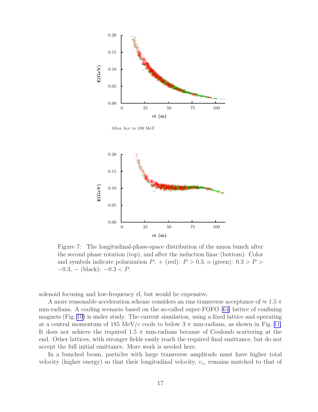<span id="page-22-0"></span>

After Acc to 100 MeV



Figure 7: The longitudinal-phase-space distribution of the muon bunch after the second phase rotation (top), and after the induction linac (bottom). Color and symbols indicate polarization  $P:$  + (red):  $P > 0.3$ , o (green):  $0.3 > P >$  $-0.3, -$  (black):  $-0.3 < P$ .

solenoid focusing and low-frequency rf, but would be expensive.

A more reasonable acceleration scheme considers an rms transverse acceptance of  $\approx 1.5 \pi$ mm-radians. A cooling scenario based on the so-called super-FOFO [\[61\]](#page-47-0) lattice of confining magnets (Fig. [10](#page-24-0)) is under study. The current simulation, using a fixed lattice and operating at a central momentum of 185 MeV/c cools to below  $3 \pi$  mm-radians, as shown in Fig. [11.](#page-24-0) It does not achieve the required 1.5  $\pi$  mm-radians because of Coulomb scattering at the end. Other lattices, with stronger fields easily reach the required final emittance, but do not accept the full initial emittance. More work is needed here.

In a bunched beam, particles with large transverse amplitude must have higher total velocity (higher energy) so that their longitudinal velocity,  $v_z$ , remains matched to that of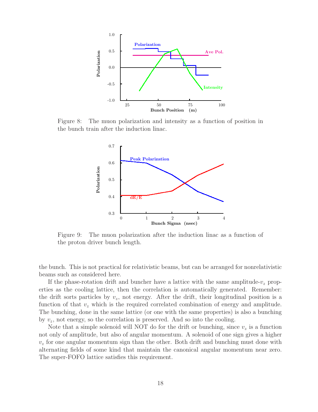<span id="page-23-0"></span>

Figure 8: The muon polarization and intensity as a function of position in the bunch train after the induction linac.



Figure 9: The muon polarization after the induction linac as a function of the proton driver bunch length.

the bunch. This is not practical for relativistic beams, but can be arranged for nonrelativistic beams such as considered here.

If the phase-rotation drift and buncher have a lattice with the same amplitude- $v_z$  properties as the cooling lattice, then the correlation is automatically generated. Remember: the drift sorts particles by  $v_z$ , not energy. After the drift, their longitudinal position is a function of that  $v_z$  which is the required correlated combination of energy and amplitude. The bunching, done in the same lattice (or one with the same properties) is also a bunching by  $v_z$ , not energy, so the correlation is preserved. And so into the cooling.

Note that a simple solenoid will NOT do for the drift or bunching, since  $v<sub>z</sub>$  is a function not only of amplitude, but also of angular momentum. A solenoid of one sign gives a higher  $v<sub>z</sub>$  for one angular momentum sign than the other. Both drift and bunching must done with alternating fields of some kind that maintain the canonical angular momentum near zero. The super-FOFO lattice satisfies this requirement.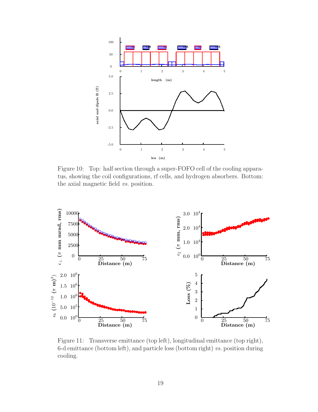<span id="page-24-0"></span>

Figure 10: Top: half section through a super-FOFO cell of the cooling apparatus, showing the coil configurations, rf cells, and hydrogen absorbers. Bottom: the axial magnetic field vs. position.



Figure 11: Transverse emittance (top left), longitudinal emittance (top right), 6-d emittance (bottom left), and particle loss (bottom right)  $vs.$  position during cooling.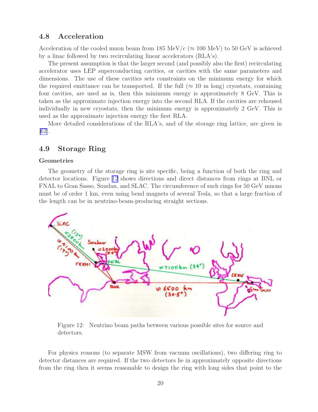#### <span id="page-25-0"></span>4.8 Acceleration

Acceleration of the cooled muon beam from 185 MeV/ $c \approx 100$  MeV) to 50 GeV is achieved by a linac followed by two recirculating linear accelerators (RLA's).

The present assumption is that the larger second (and possibly also the first) recirculating accelerator uses LEP superconducting cavities, or cavities with the same parameters and dimensions. The use of these cavities sets constraints on the minimum energy for which the required emittance can be transported. If the full ( $\approx 10$  m long) cryostats, containing four cavities, are used as is, then this minimum energy is approximately 8 GeV. This is taken as the approximate injection energy into the second RLA. If the cavities are rehoused individually in new cryostats, then the minimum energy is approximately 2 GeV. This is used as the approximate injection energy the first RLA.

More detailed considerations of the RLA's, and of the storage ring lattice, are given in [\[62\]](#page-47-0).

### 4.9 Storage Ring

#### Geometries

The geometry of the storage ring is site specific, being a function of both the ring and detector locations. Figure 12 shows directions and direct distances from rings at BNL or FNAL to Gran Sasso, Soudan, and SLAC. The circumference of such rings for 50 GeV muons must be of order 1 km, even using bend magnets of several Tesla, so that a large fraction of the length can be in neutrino-beam-producing straight sections.



Figure 12: Neutrino beam paths between various possible sites for source and detectors.

For physics reasons (to separate MSW from vacuum oscillations), two differing ring to detector distances are required. If the two detectors lie in approximately opposite directions from the ring then it seems reasonable to design the ring with long sides that point to the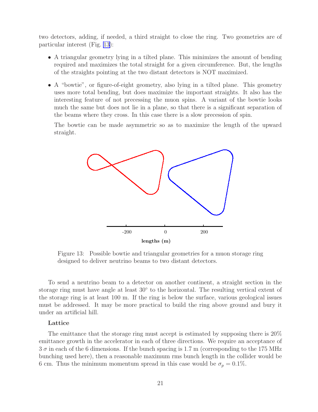<span id="page-26-0"></span>two detectors, adding, if needed, a third straight to close the ring. Two geometries are of particular interest (Fig. 13):

- A triangular geometry lying in a tilted plane. This minimizes the amount of bending required and maximizes the total straight for a given circumference. But, the lengths of the straights pointing at the two distant detectors is NOT maximized.
- A "bowtie", or figure-of-eight geometry, also lying in a tilted plane. This geometry uses more total bending, but does maximize the important straights. It also has the interesting feature of not precessing the muon spins. A variant of the bowtie looks much the same but does not lie in a plane, so that there is a significant separation of the beams where they cross. In this case there is a slow precession of spin.

The bowtie can be made asymmetric so as to maximize the length of the upward straight.



Figure 13: Possible bowtie and triangular geometries for a muon storage ring designed to deliver neutrino beams to two distant detectors.

To send a neutrino beam to a detector on another continent, a straight section in the storage ring must have angle at least  $30^{\circ}$  to the horizontal. The resulting vertical extent of the storage ring is at least 100 m. If the ring is below the surface, various geological issues must be addressed. It may be more practical to build the ring above ground and bury it under an artificial hill.

#### Lattice

The emittance that the storage ring must accept is estimated by supposing there is 20% emittance growth in the accelerator in each of three directions. We require an acceptance of  $3\,\sigma$  in each of the 6 dimensions. If the bunch spacing is 1.7 m (corresponding to the 175 MHz bunching used here), then a reasonable maximum rms bunch length in the collider would be 6 cm. Thus the minimum momentum spread in this case would be  $\sigma_p = 0.1\%$ .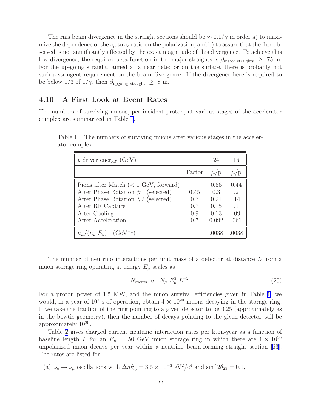<span id="page-27-0"></span>The rms beam divergence in the straight sections should be  $\approx 0.1/\gamma$  in order a) to maximize the dependence of the  $\nu_{\mu}$  to  $\nu_{e}$  ratio on the polarization; and b) to assure that the flux observed is not significantly affected by the exact magnitude of this divergence. To achieve this low divergence, the required beta function in the major straights is  $\beta_{\text{major straights}} \geq 75 \text{ m}$ . For the up-going straight, aimed at a near detector on the surface, there is probably not such a stringent requirement on the beam divergence. If the divergence here is required to be below 1/3 of  $1/\gamma$ , then  $\beta_{\text{upgoing straight}} \geq 8 \text{ m}$ .

#### 4.10 A First Look at Event Rates

The numbers of surviving muons, per incident proton, at various stages of the accelerator complex are summarized in Table 1.

| $p$ driver energy (GeV)                                                                                                                                                                    |                                  | 24                                           | 16                                                   |
|--------------------------------------------------------------------------------------------------------------------------------------------------------------------------------------------|----------------------------------|----------------------------------------------|------------------------------------------------------|
|                                                                                                                                                                                            | Factor                           | $\mu$ /p                                     | $\mu$ /p                                             |
| Pions after Match $(< 1 \text{ GeV},$ forward)<br>After Phase Rotation $\#1$ (selected)<br>After Phase Rotation $#2$ (selected)<br>After RF Capture<br>After Cooling<br>After Acceleration | 0.45<br>0.7<br>0.7<br>0.9<br>0.7 | 0.66<br>0.3<br>0.21<br>0.15<br>0.13<br>0.092 | 0.44<br>$\cdot$ 2<br>.14<br>$\cdot$ 1<br>.09<br>.061 |
| $n_{\mu}/(n_p E_p)$ (GeV <sup>-1</sup> )                                                                                                                                                   |                                  |                                              |                                                      |

Table 1: The numbers of surviving muons after various stages in the accelerator complex.

The number of neutrino interactions per unit mass of a detector at distance L from a muon storage ring operating at energy  $E_{\mu}$  scales as

$$
N_{\text{events}} \propto N_{\mu} E_{\mu}^3 L^{-2}.
$$
\n(20)

For a proton power of 1.5 MW, and the muon survival efficiencies given in Table 1, we would, in a year of  $10^7$  s of operation, obtain  $4 \times 10^{20}$  muons decaying in the storage ring. If we take the fraction of the ring pointing to a given detector to be 0.25 (approximately as in the bowtie geometry), then the number of decays pointing to the given detector will be approximately  $10^{20}$ .

Table [2](#page-28-0) gives charged current neutrino interaction rates per kton-year as a function of baseline length L for an  $E_{\mu} = 50$  GeV muon storage ring in which there are  $1 \times 10^{20}$ unpolarized muon decays per year within a neutrino beam-forming straight section[[63](#page-47-0)]. The rates are listed for

(a) 
$$
\nu_e \rightarrow \nu_\mu
$$
 oscillations with  $\Delta m_{23}^2 = 3.5 \times 10^{-3} \text{ eV}^2/\text{c}^4$  and  $\sin^2 2\theta_{23} = 0.1$ ,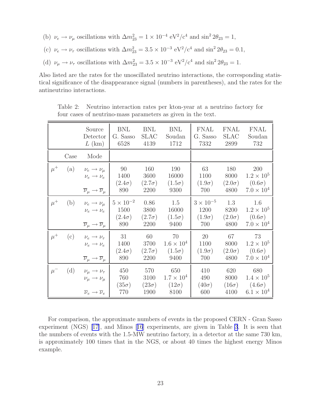- <span id="page-28-0"></span>(b)  $\nu_e \to \nu_\mu$  oscillations with  $\Delta m_{23}^2 = 1 \times 10^{-4} \text{ eV}^2/\text{c}^4$  and  $\sin^2 2\theta_{23} = 1$ ,
- (c)  $\nu_e \rightarrow \nu_\tau$  oscillations with  $\Delta m_{23}^2 = 3.5 \times 10^{-3} \text{ eV}^2/\text{c}^4$  and  $\sin^2 2\theta_{23} = 0.1$ ,
- (d)  $\nu_{\mu} \rightarrow \nu_{\tau}$  oscillations with  $\Delta m_{23}^2 = 3.5 \times 10^{-3} \text{ eV}^2/\text{c}^4$  and  $\sin^2 2\theta_{23} = 1$ .

Also listed are the rates for the unoscillated neutrino interactions, the corresponding statistical significance of the disappearance signal (numbers in parentheses), and the rates for the antineutrino interactions.

Table 2: Neutrino interaction rates per kton-year at a neutrino factory for four cases of neutrino-mass parameters as given in the text.

|         |      | Source<br>Detector<br>$L$ (km)                                                                                             | <b>BNL</b><br>G. Sasso<br>6528                                   | BNL<br><b>SLAC</b><br>4139           | <b>BNL</b><br>Soudan<br>1712                       | FNAL<br>G. Sasso<br>7332                           | <b>FNAL</b><br><b>SLAC</b><br>2899   | <b>FNAL</b><br>Soudan<br>732                                       |
|---------|------|----------------------------------------------------------------------------------------------------------------------------|------------------------------------------------------------------|--------------------------------------|----------------------------------------------------|----------------------------------------------------|--------------------------------------|--------------------------------------------------------------------|
|         | Case | Mode                                                                                                                       |                                                                  |                                      |                                                    |                                                    |                                      |                                                                    |
| $\mu^+$ |      | (a) $\nu_e \rightarrow \nu_\mu$<br>$\nu_e \rightarrow \nu_e$<br>$\overline{\nu}_{\mu} \rightarrow \overline{\nu}_{\mu}$    | -90<br>1400<br>$(2.4\sigma)$<br>890                              | 160<br>3600<br>$(2.7\sigma)$<br>2200 | 190<br>16000<br>$(1.5\sigma)$<br>9300              | 63<br>1100<br>$(1.9\sigma)$<br>700                 | 180<br>8000<br>$(2.0\sigma)$<br>4800 | 200<br>$1.2 \times 10^{5}$<br>$(0.6\sigma)$<br>$7.0 \times 10^{4}$ |
| $\mu^+$ | (b)  | $\nu_e \rightarrow \nu_\mu$<br>$\nu_e \rightarrow \nu_e$<br>$\overline{\nu}_{\mu} \rightarrow \overline{\nu}_{\mu}$        | $5 \times 10^{-2}$<br>1500<br>$(2.4\sigma)$ $(2.7\sigma)$<br>890 | 0.86<br>3800<br>2200                 | 1.5<br>16000<br>$(1.5\sigma)$<br>9400              | $3 \times 10^{-5}$<br>1200<br>$(1.9\sigma)$<br>700 | 1.3<br>8200<br>$(2.0\sigma)$<br>4800 | 1.6<br>$1.2 \times 10^{5}$<br>$(0.6\sigma)$<br>$7.0 \times 10^{4}$ |
| $\mu^+$ |      | (c) $\nu_e \rightarrow \nu_\tau$<br>$\nu_e \rightarrow \nu_e$<br>$\overline{\nu}_{\mu} \rightarrow \overline{\nu}_{\mu}$   | 31<br>1400<br>$(2.4\sigma)$<br>890                               | 60<br>3700<br>$(2.7\sigma)$<br>2200  | 70<br>$1.6 \times 10^{4}$<br>$(1.5\sigma)$<br>9400 | 20<br>1100<br>$(1.9\sigma)$<br>700                 | 67<br>8000<br>$(2.0\sigma)$<br>4800  | 73<br>$1.2 \times 10^{5}$<br>$(0.6\sigma)$<br>$7.0 \times 10^4$    |
| $\mu^-$ |      | (d) $\nu_{\mu} \rightarrow \nu_{\tau}$<br>$\nu_\mu \rightarrow \nu_\mu$<br>$\overline{\nu}_e \rightarrow \overline{\nu}_e$ | 450<br>760<br>$(35\sigma)$<br>770                                | 570<br>3100<br>$(23\sigma)$<br>1900  | 650<br>$1.7 \times 10^4$<br>$(12\sigma)$<br>8100   | 410<br>490<br>$(40\sigma)$<br>600                  | 620<br>8000<br>$(16\sigma)$<br>4100  | 680<br>$1.4 \times 10^{5}$<br>$(4.6\sigma)$<br>$6.1 \times 10^{4}$ |

For comparison, the approximate numbers of events in the proposed CERN - Gran Sasso experiment (NGS)[[17\]](#page-42-0), and Minos[[16](#page-42-0)] experiments, are given in Table [3](#page-29-0). It is seen that the numbers of events with the 1.5-MW neutrino factory, in a detector at the same 730 km, is approximately 100 times that in the NGS, or about 40 times the highest energy Minos example.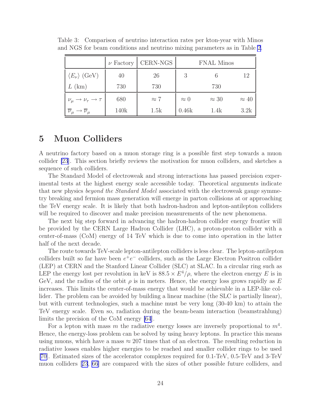|                                                         | $\nu$ Factory | CERN-NGS    |             | <b>FNAL Minos</b> |              |
|---------------------------------------------------------|---------------|-------------|-------------|-------------------|--------------|
| $\langle E_{\nu} \rangle$ (GeV)                         | 40            | 26          | 3           |                   | 19           |
| $L$ (km)                                                | 730           | 730         |             | 730               |              |
| $\nu_\mu \rightarrow \nu_\tau \rightarrow \tau$         | 680           | $\approx 7$ | $\approx 0$ | $\approx 30$      | $\approx 40$ |
| $\overline{\nu}_{\mu} \rightarrow \overline{\nu}_{\mu}$ | 140k          | 1.5k        | 0.46k       | 1.4k              | 3.2k         |

<span id="page-29-0"></span>Table 3: Comparison of neutrino interaction rates per kton-year with Minos and NGS for beam conditions and neutrino mixing parameters as in Table [2](#page-28-0).

## 5 Muon Colliders

A neutrino factory based on a muon storage ring is a possible first step towards a muon collider [\[23](#page-43-0)]. This section briefly reviews the motivation for muon colliders, and sketches a sequence of such colliders.

The Standard Model of electroweak and strong interactions has passed precision experimental tests at the highest energy scale accessible today. Theoretical arguments indicate that new physics beyond the Standard Model associated with the electroweak gauge symmetry breaking and fermion mass generation will emerge in parton collisions at or approaching the TeV energy scale. It is likely that both hadron-hadron and lepton-antilepton colliders will be required to discover and make precision measurements of the new phenomena.

The next big step forward in advancing the hadron-hadron collider energy frontier will be provided by the CERN Large Hadron Collider (LHC), a proton-proton collider with a center-of-mass (CoM) energy of 14 TeV which is due to come into operation in the latter half of the next decade.

The route towards TeV-scale lepton-antilepton colliders is less clear. The lepton-antilepton colliders built so far have been  $e^+e^-$  colliders, such as the Large Electron Positron collider (LEP) at CERN and the Stanford Linear Collider (SLC) at SLAC. In a circular ring such as LEP the energy lost per revolution in keV is  $88.5 \times E^4/\rho$ , where the electron energy E is in GeV, and the radius of the orbit  $\rho$  is in meters. Hence, the energy loss grows rapidly as E increases. This limits the center-of-mass energy that would be achievable in a LEP-like collider. The problem can be avoided by building a linear machine (the SLC is partially linear), but with current technologies, such a machine must be very long (30-40 km) to attain the TeV energy scale. Even so, radiation during the beam-beam interaction (beamstrahlung) limits the precision of the CoM energy [\[64](#page-47-0)].

For a lepton with mass m the radiative energy losses are inversely proportional to  $m<sup>4</sup>$ . Hence, the energy-loss problem can be solved by using heavy leptons. In practice this means using muons, which have a mass  $\approx 207$  times that of an electron. The resulting reduction in radiative losses enables higher energies to be reached and smaller collider rings to be used [\[70\]](#page-48-0). Estimated sizes of the accelerator complexes required for 0.1-TeV, 0.5-TeV and 3-TeV muon colliders[[23](#page-43-0), [66](#page-47-0)] are compared with the sizes of other possible future colliders, and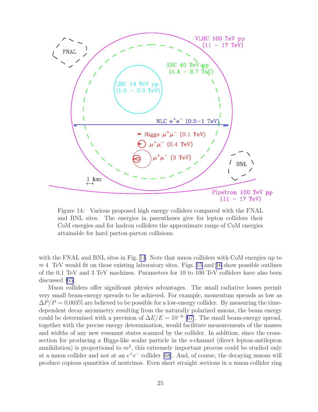<span id="page-30-0"></span>

Figure 14: Various proposed high energy colliders compared with the FNAL and BNL sites. The energies in parentheses give for lepton colliders their CoM energies and for hadron colliders the approximate range of CoM energies attainable for hard parton-parton collisions.

with the FNAL and BNL sites in Fig. 14. Note that muon colliders with CoM energies up to  $\approx$  4 TeV would fit on these existing laboratory sites. Figs. [15](#page-31-0) and [16](#page-31-0) show possible outlines of the 0.1 TeV and 3 TeV machines. Parameters for 10 to 100 TeV colliders have also been discussed [\[65\]](#page-47-0).

Muon colliders offer significant physics advantages. The small radiative losses permit very small beam-energy spreads to be achieved. For example, momentum spreads as low as  $\Delta P/P = 0.003\%$  are believed to be possible for a low-energy collider. By measuring the timedependent decay asymmetry resulting from the naturally polarized muons, the beam energy could be determined with a precision of  $\Delta E/E = 10^{-6}$  [\[67\]](#page-47-0). The small beam-energy spread, together with the precise energy determination, would facilitate measurements of the masses and widths of any new resonant states scanned by the collider. In addition, since the crosssection for producing a Higgs-like scalar particle in the s-channel (direct lepton-antilepton annihilation) is proportional to  $m^2$ , this extremely important process could be studied only at a muon collider and not at an  $e^+e^-$  collider [\[68](#page-48-0)]. And, of course, the decaying muons will produce copious quantities of neutrinos. Even short straight sections in a muon-collider ring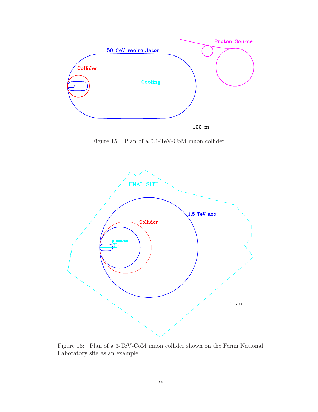<span id="page-31-0"></span>

Figure 15: Plan of a 0.1-TeV-CoM muon collider.



Figure 16: Plan of a 3-TeV-CoM muon collider shown on the Fermi National Laboratory site as an example.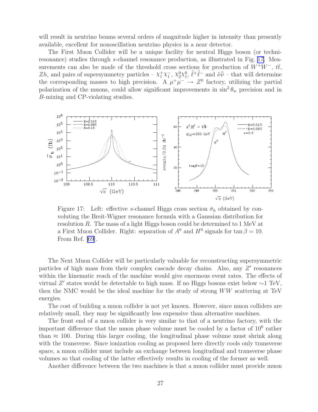<span id="page-32-0"></span>will result in neutrino beams several orders of magnitude higher in intensity than presently available, excellent for nonoscillation neutrino physics in a near detector.

The First Muon Collider will be a unique facility for neutral Higgs boson (or techniresonance) studies through s-channel resonance production, as illustrated in Fig. 17. Measurements can also be made of the threshold cross sections for production of  $W^+W^-$ ,  $t\bar{t}$ , Zh, and pairs of supersymmetry particles –  $\chi_1^+\chi_1^-$ ,  $\chi_2^0\chi_1^0$ ,  $\tilde{\ell}^+\tilde{\ell}^-$  and  $\tilde{\nu}\tilde{\nu}$  – that will determine the corresponding masses to high precision. A  $\mu^+\mu^- \rightarrow Z^0$  factory, utilizing the partial polarization of the muons, could allow significant improvements in  $\sin^2 \theta_w$  precision and in B-mixing and CP-violating studies.



Figure 17: Left: effective s-channel Higgs cross section  $\bar{\sigma}_h$  obtained by convoluting the Breit-Wigner resonance formula with a Gaussian distribution for resolution R. The mass of a light Higgs boson could be determined to 1 MeV at a First Muon Collider. Right: separation of  $A^0$  and  $H^0$  signals for  $\tan \beta = 10$ . From Ref. [\[69](#page-48-0)].

The Next Muon Collider will be particularly valuable for reconstructing supersymmetric particles of high mass from their complex cascade decay chains. Also, any Z' resonances within the kinematic reach of the machine would give enormous event rates. The effects of virtual Z ′ states would be detectable to high mass. If no Higgs bosons exist below ∼1 TeV, then the NMC would be the ideal machine for the study of strong WW scattering at TeV energies.

The cost of building a muon collider is not yet known. However, since muon colliders are relatively small, they may be significantly less expensive than alternative machines.

The front end of a muon collider is very similar to that of a neutrino factory, with the important difference that the muon phase volume must be cooled by a factor of  $10^6$  rather than  $\approx$  100. During this larger cooling, the longitudinal phase volume must shrink along with the transverse. Since ionization cooling as proposed here directly cools only transverse space, a muon collider must include an exchange between longitudinal and transverse phase volumes so that cooling of the latter effectively results in cooling of the former as well.

Another difference between the two machines is that a muon collider must provide muon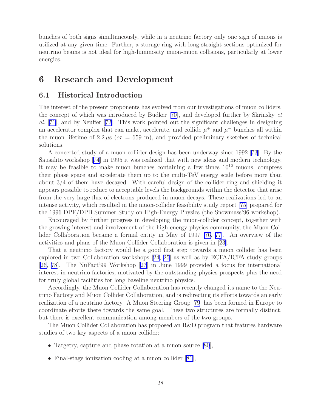<span id="page-33-0"></span>bunches of both signs simultaneously, while in a neutrino factory only one sign of muons is utilized at any given time. Further, a storage ring with long straight sections optimized for neutrino beams is not ideal for high-luminosity muon-muon collisions, particularly at lower energies.

## 6 Research and Development

## 6.1 Historical Introduction

The interest of the present proponents has evolved from our investigations of muon colliders, the concept of which was introduced by Budker[[70\]](#page-48-0), and developed further by Skrinsky et al. [\[71\]](#page-48-0), and by Neuffer[[72\]](#page-48-0). This work pointed out the significant challenges in designing an accelerator complex that can make, accelerate, and collide  $\mu^+$  and  $\mu^-$  bunches all within the muon lifetime of 2.2  $\mu$ s ( $c\tau$  = 659 m), and provided preliminary sketches of technical solutions.

A concerted study of a muon collider design has been underway since 1992 [\[73](#page-48-0)]. By the Sausalito workshop [\[74\]](#page-49-0) in 1995 it was realized that with new ideas and modern technology, it may be feasible to make muon bunches containing a few times  $10^{12}$  muons, compress their phase space and accelerate them up to the multi-TeV energy scale before more than about 3/4 of them have decayed. With careful design of the collider ring and shielding it appears possible to reduce to acceptable levels the backgrounds within the detector that arise from the very large flux of electrons produced in muon decays. These realizations led to an intense activity, which resulted in the muon-collider feasibility study report [\[75](#page-49-0)] prepared for the 1996 DPF/DPB Summer Study on High-Energy Physics (the Snowmass'96 workshop).

Encouraged by further progress in developing the muon-collider concept, together with the growing interest and involvement of the high-energy-physics community, the Muon Collider Collaboration became a formal entity in May of 1997 [\[76](#page-49-0), [77](#page-49-0)]. An overview of the activities and plans of the Muon Collider Collaboration is given in [\[23](#page-43-0)].

That a neutrino factory would be a good first step towards a muon collider has been explored in two Collaboration workshops [\[24](#page-43-0), [25\]](#page-43-0) as well as by ECFA/ICFA study groups [\[26,](#page-43-0) [78](#page-49-0)]. The NuFact'99 Workshop[[27](#page-43-0)] in June 1999 provided a focus for international interest in neutrino factories, motivated by the outstanding physics prospects plus the need for truly global facilities for long baseline neutrino physics.

Accordingly, the Muon Collider Collaboration has recently changed its name to the Neutrino Factory and Muon Collider Collaboration, and is redirecting its efforts towards an early realization of a neutrino factory. A Muon Steering Group[[79](#page-49-0)] has been formed in Europe to coordinate efforts there towards the same goal. These two structures are formally distinct, but there is excellent communication among members of the two groups.

The Muon Collider Collaboration has proposed an R&D program that features hardware studies of two key aspects of a muon collider:

- Targetry, capture and phase rotation at a muon source [\[80](#page-49-0)],
- •Final-stage ionization cooling at a muon collider [[81\]](#page-49-0),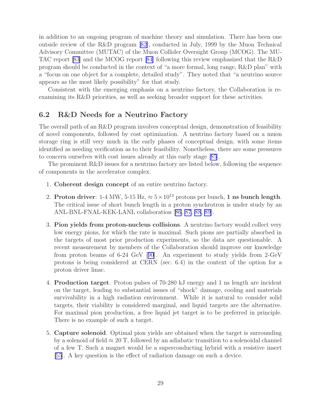<span id="page-34-0"></span>in addition to an ongoing program of machine theory and simulation. There has been one outside review of the R&D program[[82\]](#page-50-0), conducted in July, 1999 by the Muon Technical Advisory Committee (MUTAC) of the Muon Collider Oversight Group (MCOG). The MU-TAC report [\[83](#page-50-0)] and the MCOG report [\[84\]](#page-50-0) following this review emphasized that the R&D program should be conducted in the context of "a more formal, long range, R&D plan" with a "focus on one object for a complete, detailed study". They noted that "a neutrino source appears as the most likely possibility" for that study.

Consistent with the emerging emphasis on a neutrino factory, the Collaboration is reexamining its R&D priorities, as well as seeking broader support for these activities.

## 6.2 R&D Needs for a Neutrino Factory

The overall path of an R&D program involves conceptual design, demonstration of feasibility of novel components, followed by cost optimization. A neutrino factory based on a muon storage ring is still very much in the early phases of conceptual design, with some items identified as needing verification as to their feasibility. Nonetheless, there are some pressures to concern ourselves with cost issues already at this early stage[[85](#page-50-0)].

The prominent R&D issues for a neutrino factory are listed below, following the sequence of components in the accelerator complex.

- 1. Coherent design concept of an entire neutrino factory.
- 2. Proton driver: 1-4 MW, 5-15 Hz,  $\approx 5 \times 10^{13}$  protons per bunch, 1 ns bunch length. The critical issue of short bunch length in a proton synchrotron is under study by an ANL-BNL-FNAL-KEK-LANL collaboration[[86](#page-50-0), [87](#page-50-0), [88](#page-50-0), [89\]](#page-50-0).
- 3. Pion yields from proton-nucleus collisions. A neutrino factory would collect very low energy pions, for which the rate is maximal. Such pions are partially absorbed in the targets of most prior production experiments, so the data are questionable. A recent measurement by members of the Collaboration should improve our knowledge from proton beams of 6-24 GeV[[90](#page-50-0)]. An experiment to study yields from 2-GeV protons is being considered at CERN (sec. 6.4) in the context of the option for a proton driver linac.
- 4. Production target. Proton pulses of 70-280 kJ energy and 1 ns length are incident on the target, leading to substantial issues of "shock" damage, cooling and materials survivability in a high radiation environment. While it is natural to consider solid targets, their viability is considered marginal, and liquid targets are the alternative. For maximal pion production, a free liquid jet target is to be preferred in principle. There is no example of such a target.
- 5. Capture solenoid. Optimal pion yields are obtained when the target is surrounding by a solenoid of field  $\approx 20$  T, followed by an adiabatic transition to a solenoidal channel of a few T. Such a magnet would be a superconducting hybrid with a resistive insert [\[55](#page-46-0)]. A key question is the effect of radiation damage on such a device.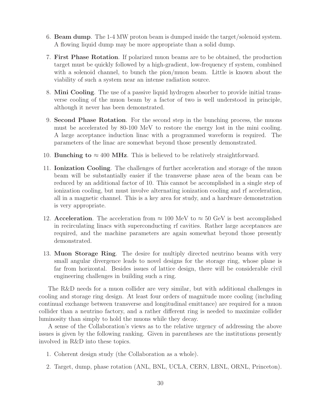- 6. Beam dump. The 1-4 MW proton beam is dumped inside the target/solenoid system. A flowing liquid dump may be more appropriate than a solid dump.
- 7. First Phase Rotation. If polarized muon beams are to be obtained, the production target must be quickly followed by a high-gradient, low-frequency rf system, combined with a solenoid channel, to bunch the pion/muon beam. Little is known about the viability of such a system near an intense radiation source.
- 8. Mini Cooling. The use of a passive liquid hydrogen absorber to provide initial transverse cooling of the muon beam by a factor of two is well understood in principle, although it never has been demonstrated.
- 9. Second Phase Rotation. For the second step in the bunching process, the muons must be accelerated by 80-100 MeV to restore the energy lost in the mini cooling. A large acceptance induction linac with a programmed waveform is required. The parameters of the linac are somewhat beyond those presently demonstrated.
- 10. **Bunching to**  $\approx 400$  **MHz**. This is believed to be relatively straightforward.
- 11. Ionization Cooling. The challenges of further acceleration and storage of the muon beam will be substantially easier if the transverse phase area of the beam can be reduced by an additional factor of 10. This cannot be accomplished in a single step of ionization cooling, but must involve alternating ionization cooling and rf acceleration, all in a magnetic channel. This is a key area for study, and a hardware demonstration is very appropriate.
- 12. Acceleration. The acceleration from  $\approx 100$  MeV to  $\approx 50$  GeV is best accomplished in recirculating linacs with superconducting rf cavities. Rather large acceptances are required, and the machine parameters are again somewhat beyond those presently demonstrated.
- 13. Muon Storage Ring. The desire for multiply directed neutrino beams with very small angular divergence leads to novel designs for the storage ring, whose plane is far from horizontal. Besides issues of lattice design, there will be considerable civil engineering challenges in building such a ring.

The R&D needs for a muon collider are very similar, but with additional challenges in cooling and storage ring design. At least four orders of magnitude more cooling (including continual exchange between transverse and longitudinal emittance) are required for a muon collider than a neutrino factory, and a rather different ring is needed to maximize collider luminosity than simply to hold the muons while they decay.

A sense of the Collaboration's views as to the relative urgency of addressing the above issues is given by the following ranking. Given in parentheses are the institutions presently involved in R&D into these topics.

- 1. Coherent design study (the Collaboration as a whole).
- 2. Target, dump, phase rotation (ANL, BNL, UCLA, CERN, LBNL, ORNL, Princeton).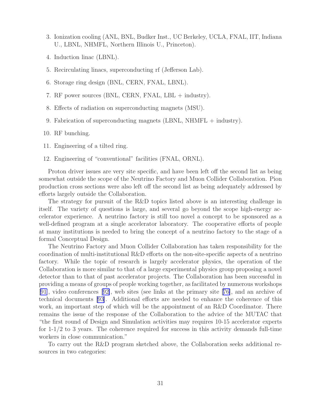- 3. Ionization cooling (ANL, BNL, Budker Inst., UC Berkeley, UCLA, FNAL, IIT, Indiana U., LBNL, NHMFL, Northern Illinois U., Princeton).
- 4. Induction linac (LBNL).
- 5. Recirculating linacs, superconducting rf (Jefferson Lab).
- 6. Storage ring design (BNL, CERN, FNAL, LBNL).
- 7. RF power sources (BNL, CERN, FNAL, LBL + industry).
- 8. Effects of radiation on superconducting magnets (MSU).
- 9. Fabrication of superconducting magnets (LBNL, NHMFL + industry).
- 10. RF bunching.
- 11. Engineering of a tilted ring.
- 12. Engineering of "conventional" facilities (FNAL, ORNL).

Proton driver issues are very site specific, and have been left off the second list as being somewhat outside the scope of the Neutrino Factory and Muon Collider Collaboration. Pion production cross sections were also left off the second list as being adequately addressed by efforts largely outside the Collaboration.

The strategy for pursuit of the R&D topics listed above is an interesting challenge in itself. The variety of questions is large, and several go beyond the scope high-energy accelerator experience. A neutrino factory is still too novel a concept to be sponsored as a well-defined program at a single accelerator laboratory. The cooperative efforts of people at many institutions is needed to bring the concept of a neutrino factory to the stage of a formal Conceptual Design.

The Neutrino Factory and Muon Collider Collaboration has taken responsibility for the coordination of multi-institutional R&D efforts on the non-site-specific aspects of a neutrino factory. While the topic of research is largely accelerator physics, the operation of the Collaboration is more similar to that of a large experimental physics group proposing a novel detector than to that of past accelerator projects. The Collaboration has been successful in providing a means of groups of people working together, as facilitated by numerous workshops [\[91\]](#page-50-0), video conferences[[92\]](#page-50-0), web sites (see links at the primary site[[76\]](#page-49-0), and an archive of technical documents [\[93\]](#page-50-0). Additional efforts are needed to enhance the coherence of this work, an important step of which will be the appointment of an R&D Coordinator. There remains the issue of the response of the Collaboration to the advice of the MUTAC that "the first round of Design and Simulation activities may requires 10-15 accelerator experts for 1-1/2 to 3 years. The coherence required for success in this activity demands full-time workers in close communication."

To carry out the R&D program sketched above, the Collaboration seeks additional resources in two categories: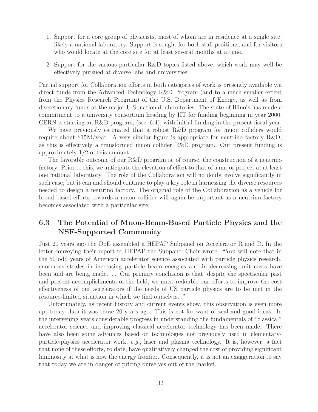- <span id="page-37-0"></span>1. Support for a core group of physicists, most of whom are in residence at a single site, likely a national laboratory. Support is sought for both staff positions, and for visitors who would locate at the core site for at least several months at a time.
- 2. Support for the various particular R&D topics listed above, which work may well be effectively pursued at diverse labs and universities.

Partial support for Collaboration efforts in both categories of work is presently available via direct funds from the Advanced Technology R&D Program (and to a much smaller extent from the Physics Research Program) of the U.S. Department of Energy, as well as from discretionary funds at the major U.S. national laboratories. The state of Illinois has made a commitment to a university consortium heading by IIT for funding beginning in year 2000. CERN is starting an R&D program, (sec. 6.4), with initial funding in the present fiscal year.

We have previously estimated that a robust R&D program for muon colliders would require about \$15M/year. A very similar figure is appropriate for neutrino factory R&D, as this is effectively a transformed muon collider R&D program. Our present funding is approximately 1/2 of this amount.

The favorable outcome of our R&D program is, of course, the construction of a neutrino factory. Prior to this, we anticipate the elevation of effort to that of a major project at at least one national laboratory. The role of the Collaboration will no doubt evolve significantly in such case, but it can and should continue to play a key role in harnessing the diverse resources needed to design a neutrino factory. The original role of the Collaboration as a vehicle for broad-based efforts towards a muon collider will again be important as a neutrino factory becomes associated with a particular site.

## 6.3 The Potential of Muon-Beam-Based Particle Physics and the NSF-Supported Community

Just 20 years ago the DoE assembled a HEPAP Subpanel on Accelerator R and D. In the letter conveying their report to HEPAP the Subpanel Chair wrote: "You will note that in the 50 odd years of American accelerator science associated with particle physics research, enormous strides in increasing particle beam energies and in decreasing unit costs have been and are being made. ... Our primary conclusion is that, despite the spectacular past and present accomplishments of the field, we must redouble our efforts to improve the cost effectiveness of our accelerators if the needs of US particle physics are to be met in the resource-limited situation in which we find ourselves..."

Unfortunately, as recent history and current events show, this observation is even more apt today than it was those 20 years ago. This is not for want of zeal and good ideas. In the intervening years considerable progress in understanding the fundamentals of "classical" accelerator science and improving classical accelerator technology has been made. There have also been some advances based on technologies not previously used in elementaryparticle-physics accelerator work, e.g., laser and plasma technology. It is, however, a fact that none of these efforts, to date, have qualitatively changed the cost of providing significant luminosity at what is now the energy frontier. Consequently, it is not an exaggeration to say that today we are in danger of pricing ourselves out of the market.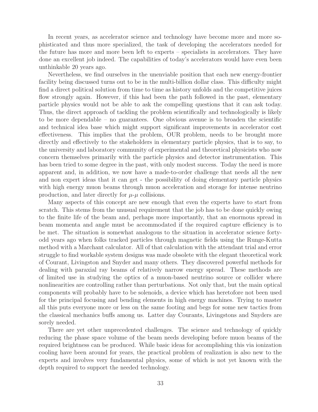In recent years, as accelerator science and technology have become more and more sophisticated and thus more specialized, the task of developing the accelerators needed for the future has more and more been left to experts – specialists in accelerators. They have done an excellent job indeed. The capabilities of today's accelerators would have even been unthinkable 20 years ago.

Nevertheless, we find ourselves in the unenviable position that each new energy-frontier facility being discussed turns out to be in the multi-billion dollar class. This difficulty might find a direct political solution from time to time as history unfolds and the competitive juices flow strongly again. However, if this had been the path followed in the past, elementary particle physics would not be able to ask the compelling questions that it can ask today. Thus, the direct approach of tackling the problem scientifically and technologically is likely to be more dependable – no guarantees. One obvious avenue is to broaden the scientific and technical idea base which might support significant improvements in accelerator cost effectiveness. This implies that the problem, OUR problem, needs to be brought more directly and effectively to the stakeholders in elementary particle physics, that is to say, to the university and laboratory community of experimental and theoretical physicists who now concern themselves primarily with the particle physics and detector instrumentation. This has been tried to some degree in the past, with only modest success. Today the need is more apparent and, in addition, we now have a made-to-order challenge that needs all the new and non expert ideas that it can get - the possibility of doing elementary particle physics with high energy muon beams through muon acceleration and storage for intense neutrino production, and later directly for  $\mu$ - $\mu$  collisions.

Many aspects of this concept are new enough that even the experts have to start from scratch. This stems from the unusual requirement that the job has to be done quickly owing to the finite life of the beam and, perhaps more importantly, that an enormous spread in beam momenta and angle must be accommodated if the required capture efficiency is to be met. The situation is somewhat analogous to the situation in accelerator science fortyodd years ago when folks tracked particles through magnetic fields using the Runge-Kutta method with a Marchant calculator. All of that calculation with the attendant trial and error struggle to find workable system designs was made obsolete with the elegant theoretical work of Courant, Livingston and Snyder and many others. They discovered powerful methods for dealing with paraxial ray beams of relatively narrow energy spread. These methods are of limited use in studying the optics of a muon-based neutrino source or collider where nonlinearities are controlling rather than perturbations. Not only that, but the main optical components will probably have to be solenoids, a device which has heretofore not been used for the principal focusing and bending elements in high energy machines. Trying to master all this puts everyone more or less on the same footing and begs for some new tactics from the classical mechanics buffs among us. Latter day Courants, Livingstons and Snyders are sorely needed.

There are yet other unprecedented challenges. The science and technology of quickly reducing the phase space volume of the beam needs developing before muon beams of the required brightness can be produced. While basic ideas for accomplishing this via ionization cooling have been around for years, the practical problem of realization is also new to the experts and involves very fundamental physics, some of which is not yet known with the depth required to support the needed technology.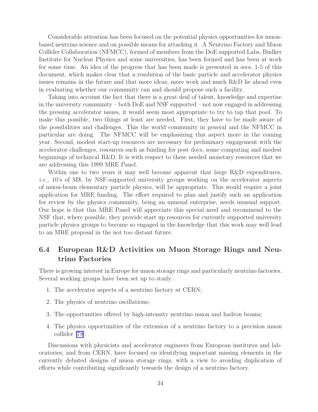<span id="page-39-0"></span>Considerable attention has been focused on the potential physics opportunities for muonbased neutrino science and on possible means for attacking it. A Neutrino Factory and Muon Collider Collaboration (NFMCC), formed of members from the DoE supported Labs, Budker Institute for Nuclear Physics and some universities, has been formed and has been at work for some time. An idea of the progress that has been made is presented in secs. 1-5 of this document, which makes clear that a resolution of the basic particle and accelerator physics issues remains in the future and that more ideas, more work and much R&D lie ahead even in evaluating whether our community can and should propose such a facility.

Taking into account the fact that there is a great deal of talent, knowledge and expertise in the university community – both DoE and NSF supported – not now engaged in addressing the pressing accelerator issues, it would seem most appropriate to try to tap that pool. To make this possible, two things at least are needed. First, they have to be made aware of the possibilities and challenges. This the world community in general and the NFMCC in particular are doing. The NFMCC will be emphasizing this aspect more in the coming year. Second, modest start-up resources are necessary for preliminary engagement with the accelerator challenges, resources such as funding for post docs, some computing and modest beginnings of technical R&D. It is with respect to these needed monetary resources that we are addressing this 1999 MRE Panel.

Within one to two years it may well become apparent that large R&D expenditures, i.e., 10's of M\$, by NSF-supported university groups working on the accelerator aspects of muon-beam elementary particle physics, will be appropriate. This would require a joint application for MRE funding. The effort required to plan and justify such an application for review by the physics community, being an unusual enterprise, needs unusual support. Our hope is that this MRE Panel will appreciate this special need and recommend to the NSF that, where possible, they provide start up resources for currently supported university particle physics groups to become so engaged in the knowledge that this work may well lead to an MRE proposal in the not too distant future.

## 6.4 European R&D Activities on Muon Storage Rings and Neutrino Factories

There is growing interest in Europe for muon storage rings and particularly neutrino factories. Several working groups have been set up to study:

- 1. The accelerator aspects of a neutrino factory at CERN;
- 2. The physics of neutrino oscillations;
- 3. The opportunities offered by high-intensity neutrino muon and hadron beams;
- 4. The physics opportunities of the extension of a neutrino factory to a precision muon collider [\[78](#page-49-0)].

Discussions with physicists and accelerator engineers from European institutes and laboratories, and from CERN, have focused on identifying important missing elements in the currently debated designs of muon storage rings, with a view to avoiding duplication of efforts while contributing significantly towards the design of a neutrino factory.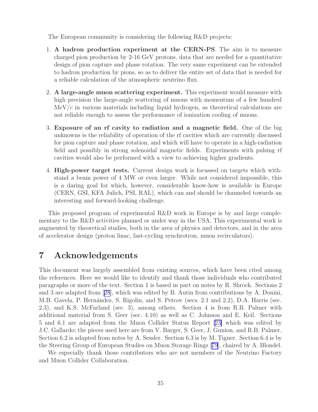<span id="page-40-0"></span>The European community is considering the following R&D projects:

- 1. A hadron production experiment at the CERN-PS. The aim is to measure charged pion production by 2-16 GeV protons, data that are needed for a quantitative design of pion capture and phase rotation. The very same experiment can be extended to hadron production by pions, so as to deliver the entire set of data that is needed for a reliable calculation of the atmospheric neutrino flux.
- 2. A large-angle muon scattering experiment. This experiment would measure with high precision the large-angle scattering of muons with momentum of a few hundred  $MeV/c$  in various materials including liquid hydrogen, as theoretical calculations are not reliable enough to assess the performance of ionization cooling of muons.
- 3. Exposure of an rf cavity to radiation and a magnetic field. One of the big unknowns is the reliability of operation of the rf cavities which are currently discussed for pion capture and phase rotation, and which will have to operate in a high-radiation field and possibly in strong solenoidal magnetic fields. Experiments with pulsing rf cavities would also be performed with a view to achieving higher gradients.
- 4. High-power target tests. Current design work is focussed on targets which withstand a beam power of 4 MW or even larger. While not considered impossible, this is a daring goal for which, however, considerable know-how is available in Europe (CERN, GSI, KFA Julich, PSI, RAL), which can and should be channeled towards an interesting and forward-looking challenge.

This proposed program of experimental R&D work in Europe is by and large complementary to the R&D activities planned or under way in the USA. This experimental work is augmented by theoretical studies, both in the area of physics and detectors, and in the area of accelerator design (proton linac, fast-cycling synchrotron, muon recirculators).

# 7 Acknowledgements

This document was largely assembled from existing sources, which have been cited among the references. Here we would like to identify and thank those individuals who contributed paragraphs or more of the text. Section 1 is based in part on notes by R. Shrock. Sections 2 and 3 are adapted from[[28](#page-43-0)], which was edited by B. Autin from contributions by A. Donini, M.B. Gavela, P. Hernández, S. Rigolin, and S. Petcov (secs. 2.1 and 2.2), D.A. Harris (sec. 2.3), and K.S. McFarland (sec. 3), among others. Section 4 is from R.B. Palmer with additional material from S. Geer (sec. 4.10) as well as C. Johnson and E. Keil. Sections 5 and 6.1 are adapted from the Muon Collider Status Report[[23\]](#page-43-0) which was edited by J.C. Gallardo; the pieces used here are from V. Barger, S. Geer, J. Gunion, and R.B. Palmer. Section 6.2 is adapted from notes by A. Sessler. Section 6.3 is by M. Tigner. Section 6.4 is by the Steering Group of European Studies on Muon Storage Rings [[79](#page-49-0)], chaired by A. Blondel.

We especially thank those contributors who are not members of the Neutrino Factory and Muon Collider Collaboration.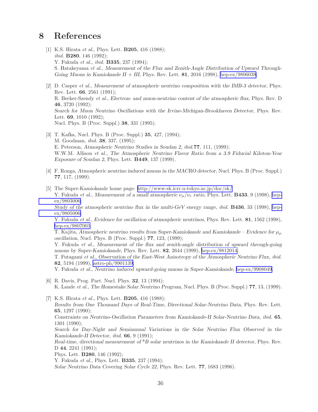## <span id="page-41-0"></span>8 References

- [1] K.S. Hirata *et al.*, Phys. Lett. B205, 416 (1988); *ibid.* **B280**, 146 (1992); Y. Fukuda *et al.*, *ibid.* B335, 237 (1994); S. Hatakeyama *et al.*, *Measurement of the Flux and Zenith-Angle Distribution of Upward Through-Going Muons in Kamiokande II + III*, Phys. Rev. Lett. 81, 2016 (1998), [hep-ex/9806038](http://arXiv.org/abs/hep-ex/9806038);
- [2] D. Casper *et al.*, *Measurement of atmospheric neutrino composition with the IMB-3 detector*, Phys. Rev. Lett. 66, 2561 (1991); R. Becker-Szendy *et al.*, *Electron- and muon-neutrino content of the atmospheric flux*, Phys. Rev. D 46, 3720 (1992); *Search for Muon Neutrino Oscillations with the Irvine-Michigan-Brookhaven Detector*, Phys. Rev. Lett. 69, 1010 (1992); Nucl. Phys. B (Proc. Suppl.) 38, 331 (1995).
- [3] T. Kafka, Nucl. Phys. B (Proc. Suppl.) 35, 427, (1994); M. Goodman, *ibid.* 38, 337, (1995); E. Peterson, *Atmospheric Neutrino Studies in Soudan 2*, *ibid.*77, 111, (1999); W.W.M. Allison *et al.*, *The Atmospheric Neutrino Flavor Ratio from a 3.9 Fiducial Kiloton-Year Exposure of Soudan 2*, Phys. Lett. B449, 137 (1999).
- [4] F. Ronga, *Atmospheric neutrino induced muons in the MACRO detector*, Nucl. Phys. B (Proc. Suppl.) 77, 117, (1999).
- [5] The Super-Kamiokande home page:<http://www-sk.icrr.u-tokyo.ac.jp/doc/sk/> Y. Fukuda *et al.*, *Measurement of a small atmospheric*  $\nu_{\mu}/\nu_{e}$  *ratio*, Phys. Lett. **B433**, 9 (1998), [hep](http://arXiv.org/abs/hep-ex/9803006)[ex/9803006;](http://arXiv.org/abs/hep-ex/9803006)

*Study of the atmospheric neutrino flux in the multi-GeV energy range*, *ibid.* B436, 33 (1998), [hep](http://arXiv.org/abs/hep-ex/9805006)[ex/9805006;](http://arXiv.org/abs/hep-ex/9805006)

Y. Fukuda *et al.*, *Evidence for oscillation of atmospheric neutrinos*, Phys. Rev. Lett. 81, 1562 (1998), [hep-ex/9807003;](http://arXiv.org/abs/hep-ex/9807003)

T. Kajita, *Atmospheric neutrino results from Super-Kamiokande and Kamiokande – Evidence for*  $\mu_{\mu}$ *oscillation*, Nucl. Phys. B (Proc. Suppl.) 77, 123, (1999);

Y. Fukuda *et al.*, *Measurement of the flux and zenith-angle distribution of upward through-going muons by Super-Kamiokande*, Phys. Rev. Lett. 82, 2644 (1999), [hep-ex/9812014;](http://arXiv.org/abs/hep-ex/9812014)

T. Futagami *et al.*, *Observation of the East-West Anisotropy of the Atmospheric Neutrino Flux*, *ibid.* 82, 5194 (1999), [astro-ph/9901139;](http://arXiv.org/abs/astro-ph/9901139)

Y. Fukuda *et al.*, *Neutrino induced upward-going muons in Super-Kamiokande*, [hep-ex/9908049.](http://arXiv.org/abs/hep-ex/9908049)

[6] R. Davis, Prog. Part. Nucl. Phys. 32, 13 (1994); K. Lande *et al.*, *The Homestake Solar Neutrino Program*, Nucl. Phys. B (Proc. Suppl.) 77, 13, (1999).

[7] K.S. Hirata *et al.*, Phys. Lett. **B205**, 416 (1988); *Results from One Thousand Days of Real-Time, Directional Solar-Neutrino Data*, Phys. Rev. Lett. 65, 1297 (1990); *Constraints on Neutrino-Oscillation Parameters from Kamiokande-II Solar-Neutrino Data*, *ibid.* 65, 1301 (1990); *Search for Day-Night and Semiannual Variations in the Solar Neutrino Flux Observed in the Kamiokande-II Detector*, *ibid.* 66, 9 (1991); *Real-time, directional measurement of* <sup>8</sup>*B solar neutrinos in the Kamiokande II detector*, Phys. Rev. D 44, 2241 (1991); Phys. Lett. B280, 146 (1992); Y. Fukuda *et al.*, Phys. Lett. B335, 237 (1994); *Solar Neutrino Data Covering Solar Cycle 22*, Phys. Rev. Lett. 77, 1683 (1996).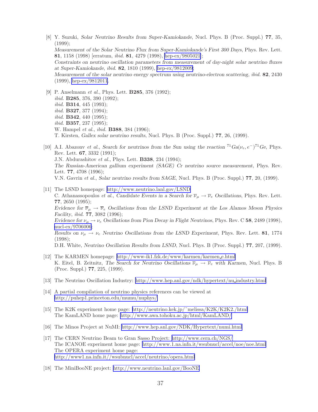- <span id="page-42-0"></span>[8] Y. Suzuki, *Solar Neutrino Results from Super-Kamiokande*, Nucl. Phys. B (Proc. Suppl.) 77, 35, (1999); *Measurement of the Solar Neutrino Flux from Super-Kamiokande's First 300 Days*, Phys. Rev. Lett. 81, 1158 (1998) [erratum, *ibid.* 81, 4279 (1998), [hep-ex/9805021\]](http://arXiv.org/abs/hep-ex/9805021); *Constraints on neutrino oscillation parameters from measurement of day-night solar neutrino fluxes at Super-Kamiokande*, *ibid.* 82, 1810 (1999), [hep-ex/9812009](http://arXiv.org/abs/hep-ex/9812009); *Measurement of the solar neutrino energy spectrum using neutrino-electron scattering*, *ibid.* 82, 2430 (1999), [hep-ex/9812011](http://arXiv.org/abs/hep-ex/9812011).
- [9] P. Anselmann *et al.*, Phys. Lett. B285, 376 (1992); *ibid.* B285, 376, 390 (1992); *ibid.* B314, 445 (1993); *ibid.* B327, 377 (1994); *ibid.* B342, 440 (1995); *ibid.* B357, 237 (1995); W. Hampel *et al.*, *ibid.* B388, 384 (1996); T. Kirsten, *Gallex solar neutrino results*, Nucl. Phys. B (Proc. Suppl.) 77, 26, (1999).
- [10] A.I. Abazonv *et al.*, *Search for neutrinos from the Sun using the reaction*  ${}^{71}Ga(\nu_e, e^-)^{71}Ge$ , Phys. Rev. Lett. 67, 3332 (1991); J.N. Abdurashitov *et al.*, Phys. Lett. B338, 234 (1994); *The Russian-American gallium experiment (SAGE) Cr neutrino source measurement*, Phys. Rev. Lett. 77, 4708 (1996); V.N. Gavrin *et al.*, *Solar neutrino results from SAGE*, Nucl. Phys. B (Proc. Suppl.) 77, 20, (1999).
- [11] The LSND homepage:<http://www.neutrino.lanl.gov/LSND> C. Athanassopoulos *et al.*, *Candidate Events in a Search for*  $\overline{\nu}_{\mu} \rightarrow \overline{\nu}_{e}$  *Oscillations*, Phys. Rev. Lett. 77, 2650 (1995); *Evidence for*  $\overline{\nu}_{\mu} \rightarrow \overline{\nu}_{e}$  *Oscillations from the LSND Experiment at the Los Alamos Meson Physics Facility*, *ibid.* 77, 3082 (1996); *Evidence for*  $\nu_{\mu} \rightarrow \nu_{e}$  *Oscillations from Pion Decay in Flight Neutrinos*, Phys. Rev. C 58, 2489 (1998), [nucl-ex/9706006](http://arXiv.org/abs/nucl-ex/9706006); *Results on*  $\nu_{\mu} \rightarrow \nu_{e}$  *Neutrino Oscillations from the LSND Experiment*, Phys. Rev. Lett. **81**, 1774 (1998); D.H. White, *Neutrino Oscillation Results from LSND*, Nucl. Phys. B (Proc. Suppl.) 77, 207, (1999).
- [12] The KARMEN homepage: [http://www-ik1.fzk.de/www/karmen/karmen](http://www-ik1.fzk.de/www/karmen/karmen_e.html) e.html K. Eitel, B. Zeitnitz, *The Search for Neutrino Oscillations*  $\overline{\nu}_{\mu} \rightarrow \overline{\nu}_{e}$  with Karmen, Nucl. Phys. B (Proc. Suppl.) 77, 225, (1999).
- [13] The Neutrino Oscillation Industry: [http://www.hep.anl.gov/ndk/hypertext/nu](http://www.hep.anl.gov/ndk/hypertext/nu_industry.html) industry.html
- [14] A partial compilation of neutrino physics references can be viewed at <http://puhep1.princeton.edu/mumu/nuphys/>
- [15] The K2K experiment home page: [http://neutrino.kek.jp/˜melissa/K2K/K2K2./html](http://neutrino.kek.jp/~melissa/K2K/K2K2./html) The KamLAND home page:<http://www.awa.tohoku.ac.jp/html/KamLAND/>
- [16] The Minos Project at NuMI:<http://www.hep.anl.gov/NDK/Hypertext/numi.html>
- [17] The CERN Neutrino Beam to Gran Sasso Project:<http://www.cern.ch/NGS/> The ICANOE experiment home page:<http://www.1.na.infn.it/wsubnucl/accel/noe/noe.html> The OPERA experiment home page: <http://www1.na.infn.it//wsubnucl/accel/neutrino/opera.html>
- [18] The MiniBooNE project:<http://www.neutrino.lanl.gov/BooNE>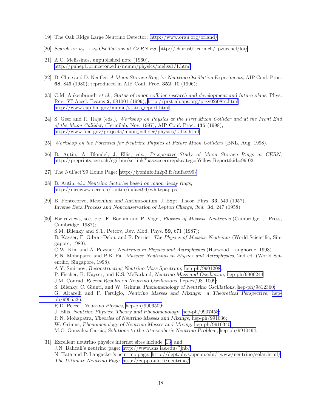- <span id="page-43-0"></span>[19] The Oak Ridge Large Neutrino Detector:<http://www.orau.org/orland/>
- [20] *Search for*  $\nu_{\mu} \rightarrow \nu_{e}$  *Oscillations at CERN PS, http://chorus01.cern.ch/* $\tilde{\text{p}}$ zucchel/loi/
- [21] A.C. Melissinos, unpublished note (1960), <http://puhep1.princeton.edu/mumu/physics/meliss1/1.html>
- [22] D. Cline and D. Neuffer, *A Muon Storage Ring for Neutrino Oscillation Experiments*, AIP Conf. Proc. 68, 846 (1980); reproduced in AIP Conf. Proc. 352, 10 (1996);
- [23] C.M. Ankenbrandt *et al.*, *Status of muon collider research and development and future plans*, Phys. Rev. ST Accel. Beams 2, 081001 (1999),<http://prst-ab.aps.org/przv02i08tc.html> [http://www.cap.bnl.gov/mumu/status](http://www.cap.bnl.gov/mumu/status_report.html) report.html
- [24] S. Geer and R. Raja (eds.), *Workshop on Physics at the First Muon Collider and at the Front End of the Muon Collider*, (Fermilab, Nov. 1997), AIP Conf. Proc. 435 (1998), [http://www.fnal.gov/projects/muon](http://www.fnal.gov/projects/muon_collider/physics/talks.html) collider/physics/talks.html
- [25] *Workshop on the Potential for Neutrino Physics at Future Muon Colliders* (BNL, Aug. 1998).
- [26] B. Autin, A. Blondel, J. Ellis, eds., *Prospective Study of Muon Storage Rings at CERN*, [http://preprints.cern.ch/cgi-bin/setlink?base=cernrep&](http://preprints.cern.ch/cgi-bin/setlink?base=cernrep)categ=Yellow Report&id=99-02
- [27] The NuFact'99 Home Page:<http://lyoninfo.in2p3.fr/nufact99/>
- [28] B. Autin, ed., *Neutrino factories based on muon decay rings*, [http://nicewww.cern.ch/˜autin/nufact99/whitepap.ps](http://nicewww.cern.ch/~autin/nufact99/whitepap.ps)
- [29] B. Pontecorvo, *Mesonium and Antimesonium*, J. Expt. Theor. Phys. 33, 549 (1957); *Inverse Beta Process and Nonconservation of Lepton Charge*, *ibid.* 34, 247 (1958).
- [30] For reviews, see, *e.g.*, F. Boehm and P. Vogel, *Physics of Massive Neutrinos* (Cambridge U. Press, Cambridge, 1987); S.M. Bilenky and S.T. Petcov, Rev. Mod. Phys. 59, 671 (1987); B. Kayser, F. Gibrat-Debu, and F. Perrier, *The Physics of Massive Neutrinos* (World Scientific, Singapore, 1989); C.W. Kim and A. Pevsner, *Neutrinos in Physics and Astrophysics* (Harwood, Langhorne, 1993). R.N. Mohapatra and P.B. Pal, *Massive Neutrinos in Physics and Astrophysics*, 2nd ed. (World Scientific, Singapore, 1998). A.Y. Smirnov, *Reconstructing Neutrino Mass Spectrum*, [hep-ph/9901208;](http://arXiv.org/abs/hep-ph/9901208) P. Fischer, B. Kayser, and K.S. McFarland, *Neutrino Mass and Oscillation*, [hep-ph/9906244](http://arXiv.org/abs/hep-ph/9906244); J.M. Conrad, *Recent Results on Neutrino Oscillations*, [hep-ex/9811009](http://arXiv.org/abs/hep-ex/9811009); S. Bilenky, C. Giunti, and W. Grimus, *Phenomenology of Neutrino Oscillations*, [hep-ph/9812360;](http://arXiv.org/abs/hep-ph/9812360) G. Altarelli and F. Ferulgio, *Neutrino Masses and Mixings: a Theoretical Perspective*, [hep](http://arXiv.org/abs/hep-ph/9905536)[ph/9905536](http://arXiv.org/abs/hep-ph/9905536); R.D. Peccei, *Neutrino Physics*, [hep-ph/9906509](http://arXiv.org/abs/hep-ph/9906509); J. Ellis, *Neutrino Physics: Theory and Phenomenology*, [hep-ph/9907458](http://arXiv.org/abs/hep-ph/9907458); R.N. Mohapatra, *Theories of Neutrino Masses and Mixings*, hep-ph/991036; W. Grimus, *Phenomenology of Neutrino Masses and Mixing*, [hep-ph/9910340;](http://arXiv.org/abs/hep-ph/9910340) M.C. Gonzalez-Garcia, *Solutions to the Atmospheric Neutrino Problem*, [hep-ph/9910494](http://arXiv.org/abs/hep-ph/9910494). [31] Excellent neutrino physics internet sites include [\[13](#page-42-0)] and:
- J.N. Bahcall's neutrino page: [http://www.sns.ias.edu/˜jnb/](http://www.sns.ias.edu/~jnb/) N. Hata and P. Langacker's neutrino page: [http://dept.phys.upenn.edu/˜www/neutrino/solar.html/](http://dept.phys.upenn.edu/~www/neutrino/solar.html/) *The Ultimate Neutrino Page*,<http://cupp.oulu.fi/neutrino/>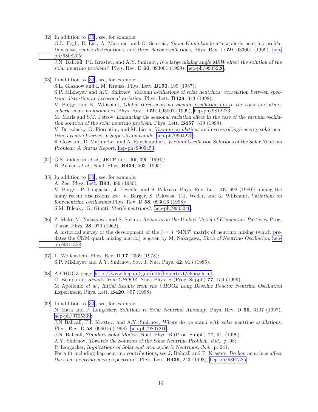<span id="page-44-0"></span>[32] In addition to [\[30\]](#page-43-0), see, for example:

G.L. Fogli, E. Lisi, A. Marrone, and G. Scioscia, *Super-Kamiokande atmospheric neutrino oscillation data, zenith distributions, and three flavor oscillations*, Phys. Rev. D 59, 033001 (1999), [hep](http://arXiv.org/abs/hep-ph/9808205)[ph/9808205](http://arXiv.org/abs/hep-ph/9808205);

J.N. Bahcall, P.I. Krastev, and A.Y. Smirnov, *Is a large mixing angle MSW effect the solution of the solar neutrino problem?*, Phys. Rev. D 60, 093001 (1999), [hep-ph/9905220.](http://arXiv.org/abs/hep-ph/9905220)

[33] In addition to [\[30\]](#page-43-0), see, for example:

S.L. Glashow and L.M. Krauss, Phys. Lett. B190, 199 (1987); S.P. Mikheyev and A.Y. Smirnov, *Vacuum oscillations of solar neutrinos: correlation between spectrum distortion and seasonal variation*, Phys. Lett. B429, 343 (1998); V. Barger and K. Whisnant, *Global three-neutrino vacuum oscillation fits to the solar and atmospheric neutrino anomalies*, Phys. Rev. D 59, 093007 (1999), [hep-ph/9812273](http://arXiv.org/abs/hep-ph/9812273); M. Maris and S.T. Petcov, *Enhancing the seasonal variation effect in the case of the vacuum oscillation solution of the solar neutrino problem*, Phys. Lett. B457, 319 (1999); V. Berezinsky, G. Fiorentini, and M. Lissia, *Vacuum oscillations and excess of high energy solar neutrino events observed in Super-Kamiokande*, [hep-ph/9904225;](http://arXiv.org/abs/hep-ph/9904225) S. Goswami, D. Majumdar, and A. Raychaudhuri, *Vacuum Oscillation Solutions of the Solar Neutrino Problem: A Status Report*, [hep-ph/9909453](http://arXiv.org/abs/hep-ph/9909453).

- [34] G.S. Vidaykin *et al.*, JETP Lett. 59, 390 (1994); B. Achkar *et al.*, Nucl. Phys. B434, 503 (1995).
- [35] In addition to [\[30\]](#page-43-0), see, for example: A. Zee, Phys. Lett. B93, 389 (1980); V. Barger, P. Langacker, J. Leveille, and S. Pakvasa, Phys. Rev. Lett. 45, 692 (1980); among the many recent discussions are: V. Barger, S. Pakvasa, T.J. Weiler, and K. Whisnant, *Variations on four-neutrino oscillations* Phys. Rev. D 58, 093016 (1998); S.M. Bilenky, G. Giunti, *Sterile neutrinos?*, [hep-ph/9905246](http://arXiv.org/abs/hep-ph/9905246).
- [36] Z. Maki, M. Nakagawa, and S. Sakata, *Remarks on the Unified Model of Elementary Particles*, Prog. Theor. Phys. 28, 970 (1962). A historical survey of the development of the  $3 \times 3$  "MNS" matrix of neutrino mixing (which predates the CKM quark mixing matrix) is given by M. Nakagawa, *Birth of Neutrino Oscillation*, [hep](http://arXiv.org/abs/hep-ph/9811358)[ph/9811358](http://arXiv.org/abs/hep-ph/9811358).
- [37] L. Wolfenstein, Phys. Rev. D **17**, 2369 (1978); S.P. Mikheyev and A.Y. Smirnov, Sov. J. Nuc. Phys. 42, 913 (1986).
- [38] A CHOOZ page:<http://www.hep.anl.gov/ndk/hypertext/chooz.html> C. Bemporad, *Results from CHOOZ*, Nucl. Phys. B (Proc. Suppl.) 77, 159 (1999); M Apollonio *et al.*, *Initial Results from the CHOOZ Long Baseline Reactor Neutrino Oscillation Experiment*, Phys. Lett. B420, 397 (1998).

[39] In addition to [\[30\]](#page-43-0), see, for example: N. Hata and P. Langacker, *Solutions to Solar Neutrino Anomaly*, Phys. Rev. D 56, 6107 (1997), [hep-ph/9705339;](http://arXiv.org/abs/hep-ph/9705339) J.N Bahcall, P.I. Krastev, and A.Y. Smirnov, *Where do we stand with solar neutrino oscillations*, Phys. Rev. D 58, 096016 (1998), [hep-ph/9807216.](http://arXiv.org/abs/hep-ph/9807216) J.N. Bahcall, *Standard Solar Models*, Nucl. Phys. B (Proc. Suppl.) 77, 64, (1999); A.Y. Smirnov, *Towards the Solution of the Solar Neutrino Problem*, *ibid.*, p. 98; P. Langacker, *Implications of Solar and Atmospheric Neutrinos*, *ibid.*, p. 241. For a fit including hep neutrino contributions, see J. Bahcall and P. Krastev, *Do hep neutrinos affect the solar neutrino energy spectrum?*, Phys. Lett. B436, 243 (1998), [hep-ph/9807525](http://arXiv.org/abs/hep-ph/9807525).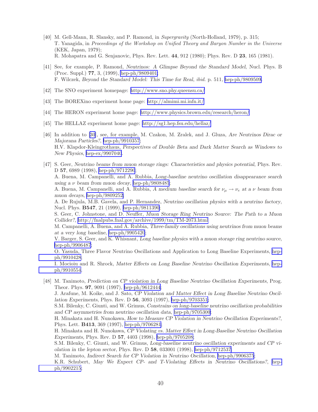- <span id="page-45-0"></span>[40] M. Gell-Mann, R. Slansky, and P. Ramond, in *Supergravity* (North-Holland, 1979), p. 315; T. Yanagida, in *Proceedings of the Workshop on Unified Theory and Baryon Number in the Universe* (KEK, Japan, 1979); R. Mohapatra and G. Senjanovic, Phys. Rev. Lett. 44, 912 (1980); Phys. Rev. D 23, 165 (1981).
- [41] See, for example, P. Ramond, *Neutrinos: A Glimpse Beyond the Standard Model*, Nucl. Phys. B (Proc. Suppl.) 77, 3, (1999), [hep-ph/9809401;](http://arXiv.org/abs/hep-ph/9809401) F. Wilczek, *Beyond the Standard Model: This Time for Real*, *ibid.* p. 511, [hep-ph/9809509.](http://arXiv.org/abs/hep-ph/9809509)
- [42] The SNO experiment homepage:<http://www.sno.phy.queensu.ca/>
- [43] The BOREXino experiment home page:<http://almimi.mi.infn.it/>
- [44] The HERON experiment home page:<http://www.physics.brown.edu/research/heron/>
- [45] The HELLAZ experiment home page:<http://sg1.hep.fsu.edu/hellaz/>
- [46] In addition to [\[30](#page-43-0)], see, for example, M. Czakon, M. Zralek, and J. Gluza, *Are Neutrinos Dirac or Majorana Particles?*, [hep-ph/9910357;](http://arXiv.org/abs/hep-ph/9910357) H.V. Klapdor-Kleingrothaus, *Perspectives of Double Beta and Dark Matter Search as Windows to New Physics*, [hep-ex/9907040](http://arXiv.org/abs/hep-ex/9907040).
- [47] S. Geer, *Neutrino beams from muon storage rings: Characteristics and physics potential*, Phys. Rev. D 57, 6989 (1998), [hep-ph/9712290](http://arXiv.org/abs/hep-ph/9712290); A. Buena, M. Campanelli, and A. Rubbia, *Long-baseline neutrino oscillation disappearance search using a* ν *beam from muon decay*, [hep-ph/9808485](http://arXiv.org/abs/hep-ph/9808485);

A. Buena, M. Campanelli, and A. Rubbia, A medium baseline search for  $\nu_\mu \to \nu_e$  at a  $\nu$  beam from *muon decays*, [hep-ph/9809252;](http://arXiv.org/abs/hep-ph/9809252)

A. De Rujula, M.B. Gavela, and P. Hernandez, *Neutrino oscillation physics with a neutrino factory*, Nucl. Phys. B547, 21 (1999), [hep-ph/9811390](http://arXiv.org/abs/hep-ph/9811390);

S. Geer, C. Johnstone, and D. Neuffer, *Muon Storage Ring Neutrino Source: The Path to a Muon Collider?*,<http://fnalpubs.fnal.gov/archive/1999/tm/TM-2073.html>

M. Campanelli, A. Buena, and A. Rubbia, *Three-family oscillations using neutrinos from muon beams at a very long baseline*, [hep-ph/9905420](http://arXiv.org/abs/hep-ph/9905420);

V. Barger, S. Geer, and K. Whisnant, *Long baseline physics with a muon storage ring neutrino source*, [hep-ph/9906487;](http://arXiv.org/abs/hep-ph/9906487)

O. Yasuda, Three Flavor Neutrino Oscillations and Application to Long Baseline Experiments, [hep](http://arXiv.org/abs/hep-ph/9910428)[ph/9910428](http://arXiv.org/abs/hep-ph/9910428);

I. Mocioiu and R. Shrock, *Matter Effects on Long Baseline Neutrino Oscillation Experiments*, [hep](http://arXiv.org/abs/hep-ph/9910554)[ph/9910554](http://arXiv.org/abs/hep-ph/9910554).

[48] M. Tanimoto, *Prediction on CP violation in Long Baseline Neutrino Oscillation Experiments*, Prog. Theor. Phys. 97, 9091 (1997), [hep-ph/9612444](http://arXiv.org/abs/hep-ph/9612444);

J. Arafune, M. Koike, and J. Sato, *CP Violation and Matter Effect in Long Baseline Neutrino Oscillation Experiments*, Phys. Rev. D 56, 3093 (1997), [hep-ph/9703351;](http://arXiv.org/abs/hep-ph/9703351)

S.M. Bilenky, C. Giunti, and W. Grimus, *Constrains on long-baseline neutrino oscillation probabilities and CP asymmetries from neutrino oscillation data*, [hep-ph/9705300](http://arXiv.org/abs/hep-ph/9705300);

H. Minakata and H. Nunokawa, *How to Measure CP Violation in Neutrino Oscillation Experiments?*, Phys. Lett. B413, 369 (1997), [hep-ph/9706281](http://arXiv.org/abs/hep-ph/9706281);

H. Minakata and H. Nunokawa, *CP Violating vs. Matter Effect in Long-Baseline Neutrino Oscillation Experiments*, Phys. Rev. D 57, 4403 (1998), [hep-ph/9705208;](http://arXiv.org/abs/hep-ph/9705208)

S.M. Bilenky, C. Giunti, and W. Grimus, *Long-baseline neutrino oscillation experiments and CP violation in the lepton sector*, Phys. Rev. D 58, 033001 (1998), [hep-ph/9712537;](http://arXiv.org/abs/hep-ph/9712537)

M. Tanimoto, *Indirect Search for CP Violation in Neutrino Oscillation*, [hep-ph/9906375](http://arXiv.org/abs/hep-ph/9906375);

K.R. Schubert, *May We Expect CP- and T-Violating Effects in Neutrino Oscillations?*, [hep](http://arXiv.org/abs/hep-ph/9902215)[ph/9902215](http://arXiv.org/abs/hep-ph/9902215);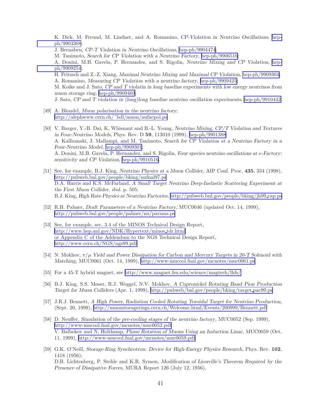<span id="page-46-0"></span>K. Dick, M. Freund, M. Lindner, and A. Romanino, *CP-Violation in Neutrino Oscillations*, [hep](http://arXiv.org/abs/hep-ph/9903308)[ph/9903308](http://arXiv.org/abs/hep-ph/9903308);

- J. Bernabeu, *CP-T Violation in Neutrino Oscillations*, [hep-ph/9904474](http://arXiv.org/abs/hep-ph/9904474);
- M. Tanimoto, *Search for CP Violation with a Neutrino Factory*, [hep-ph/9906516;](http://arXiv.org/abs/hep-ph/9906516)

A. Donini, M.B. Gavela, P. Hernandez, and S. Rigolin, *Neutrino Mixing and CP Violation*, [hep](http://arXiv.org/abs/hep-ph/9909254)[ph/9909254](http://arXiv.org/abs/hep-ph/9909254);

H. Fritzsch and Z.-Z. Xiang, *Maximal Neutrino Mixing and Maximal CP Violation*, [hep-ph/9909304;](http://arXiv.org/abs/hep-ph/9909304) A. Romanino, *Measuring CP Violation with a neutrino factory*, [hep-ph/9909425;](http://arXiv.org/abs/hep-ph/9909425)

M. Koike and J. Sato, *CP and T violatin in long baseline experiments with low energy neutrinos from muon storage ring*, [hep-ph/9909469](http://arXiv.org/abs/hep-ph/9909469);

J. Sato, *CP and T violation in (long)long baseline neutrino oscillation experiments*, [hep-ph/9910442.](http://arXiv.org/abs/hep-ph/9910442)

- [49] A. Blondel, *Muon polarisation in the neutrino factory*; [http://alephwww.cern.ch/˜bdl/muon/nufacpol.ps](http://alephwww.cern.ch/~bdl/muon/nufacpol.ps)
- [50] V. Barger, Y.-B. Dai, K. Whisnant and B.-L. Young, *Neutrino Mixing, CP/T Violation and Textures in Four-Neutrino Models*, Phys. Rev. D 59, 113010 (1999), [hep-ph/9901388;](http://arXiv.org/abs/hep-ph/9901388) A. Kalliomaki, J. Mallampi, and M. Tanimoto, *Search for CP Violation at a Neutrino Factory in a Four-Neutrino Model*, [hep-ph/9909301](http://arXiv.org/abs/hep-ph/9909301); A. Donini, M.B. Gavela, P. Hernandez, and S. Rigolin, *Four species neutrino oscillations at* ν*-Factory: sensitivity and CP Violation*, [hep-ph/9910516](http://arXiv.org/abs/hep-ph/9910516).
- [51] See, for example, B.J. King, *Neutrino Physics at a Muon Collider*, AIP Conf. Proc. 435, 334 (1998), <http://pubweb.bnl.gov/people/bking/nufnal97.ps> D.A. Harris and K.S. McFarland, *A Small Target Neutrino Deep-Inelastic Scattering Experiment at the First Muon Collider*, *ibid.* p. 505; B.J. King, *High Rate Physics at Neutrino Factories*, [http://pubweb.bnl.gov/people/bking/jh99](http://pubweb.bnl.gov/people/bking/jh99_cap.ps) cap.ps
- [52] R.B. Palmer, *Draft Parameters of a Neutrino Factory*, MUC0046 (updated Oct. 14, 1999), <http://pubweb.bnl.gov/people/palmer/nu/params.ps>
- [53] See, for example, sec. 3.4 of the MINOS Technical Design Report, [http://www.hep.anl.gov/NDK/Hypertext/minos](http://www.hep.anl.gov/NDK/Hypertext/minos_tdr.html) tdr.html or Appendix C of the Addendum to the NGS Technical Design Report, <http://www.cern.ch/NGS/ngs99.pdf>
- [54] N. Mokhov, π/µ *Yield and Power Dissipation for Carbon and Mercury Targets in 20-T Solenoid with Matching*, MUC0061 (Oct. 14, 1999),<http://www-mucool.fnal.gov/mcnotes/muc0061.ps>
- [55] For a 45-T hybrid magnet, see<http://www.magnet.fsu.edu/science/magtech/lhfs/>
- [56] B.J. King, S.S. Moser, R.J. Weggel, N.V. Mokhov, *A Cupronickel Rotating Band Pion Production Target for Muon Colliders* (Apr. 1, 1999), [http://pubweb/bnl.gov/people/bking/target](http://pubweb/bnl.gov/people/bking/target_pac99.ps) pac99.ps
- [57] J.R.J. Bennett, *A High Power, Radiation Cooled Rotating Toroidal Target for Neutrino Production*, (Sept. 20, 1999),<http://muonstoragerings.cern.ch/Welcome.html/Events/200999/Bennett.pdf>
- [58] D. Neuffer, *Simulation of the pre-cooling stages of the neutrino factory*, MUC0052 (Sep. 1999), <http://www-mucool.fnal.gov/mcnotes/muc0052.pdf> V. Balbekov and N. Holtkamp, *Phase Rotation of Muons Using an Induction Linac*, MUC0059 (Oct. 11, 1999),<http://www-mucool.fnal.gov/mcnotes/muc0059.pdf>
- [59] G.K. O'Neill, *Storage-Ring Synchrotron: Device for High-Energy Physics Research*, Phys. Rev. 102, 1418 (1956); D.B. Lichtenberg, P. Stehle and K.R. Symon, *Modification of Liouville's Theorem Required by the Presence of Dissipative Forces*, MURA Report 126 (July 12, 1956),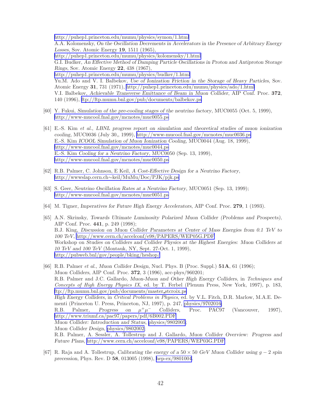<span id="page-47-0"></span><http://puhep1.princeton.edu/mumu/physics/symon/1.html> A.A. Kolomensky, *On the Oscillation Decrements in Accelerators in the Presence of Arbitrary Energy Losses*, Sov. Atomic Energy 19, 1511 (1965), <http://puhep1.princeton.edu/mumu/physics/kolomensky/1.html> G.I. Budker, *An Effective Method of Damping Particle Oscillations in Proton and Antiproton Storage Rings*, Sov. Atomic Energy 22, 438 (1967), <http://puhep1.princeton.edu/mumu/physics/budker/1.html> Yu.M. Ado and V. I. Balbekov, *Use of Ionization Friction in the Storage of Heavy Particles*, Sov. Atomic Energy 31, 731 (1971),<http://puhep1.princeton.edu/mumu/physics/ado/1.html> V.I. Balbekov, *Achievable Transverse Emittance of Beam in Muon Collider*, AIP Conf. Proc. 372, 140 (1996),<ftp://ftp.mumu.bnl.gov/pub/documents/balbekov.ps>

- [60] Y. Fukui, *Simulation of the pre-cooling stages of the neutrino factory*, MUC0055 (Oct. 5, 1999), <http://www-mucool.fnal.gov/mcnotes/muc0055.ps>
- [61] E.-S. Kim *et al.*, *LBNL progress report on simulation and theoretical studies of muon ionization cooling*, MUC0036 (July 30,, 1999),<http://www-mucool.fnal.gov/mcnotes/muc0036.ps> E.-S. Kim *ICOOL Simulation of Muon Ionization Cooling*, MUC0044 (Aug. 18, 1999), <http://www-mucool.fnal.gov/mcnotes/muc0044.ps> E.-S. Kim *Cooling for a Neutrino Factory*, MUC0050 (Sep. 13, 1999), <http://www-mucool.fnal.gov/mcnotes/muc0050.ps>
- [62] R.B. Palmer, C. Johnson, E Keil, *A Cost-Effective Design for a Neutrino Factory*, http://wwwslap.cern.ch∼[keil/MuMu/Doc/PJK/pjk.ps](http://wwwslap.cern.ch~keil/MuMu/Doc/PJK/pjk.ps)
- [63] S. Geer, *Neutrino Oscillation Rates at a Neutrino Factory*, MUC0051 (Sep. 13, 1999); <http://www-mucool.fnal.gov/mcnotes/muc0051.ps>
- [64] M. Tigner, *Imperatives for Future High Energy Accelerators*, AIP Conf. Proc. 279, 1 (1993).
- [65] A.N. Skrinsky, *Towards Ultimate Luminosity Polarized Muon Collider (Problems and Prospects)*, AIP Conf. Proc. 441, p. 249 (1998); B.J. King, *Discussion on Muon Collider Parameters at Center of Mass Energies from 0.1 TeV to 100 TeV*,<http://www.cern.ch/accelconf/e98/PAPERS/WEP05G.PDF> Workshop on *Studies on Colliders and Collider Physics at the Highest Energies: Muon Colliders at 10 TeV and 100 TeV* (Montauk, NY, Sept. 27-Oct. 1, 1999), <http://pubweb.bnl/gov/people/bking/heshop/>
- [66] R.B. Palmer *et al.*, *Muon Collider Design*, Nucl. Phys. B (Proc. Suppl.) 51A, 61 (1996); *Muon Colliders*, AIP Conf. Proc. 372, 3 (1996), acc-phys/960201; R.B. Palmer and J.C. Gallardo, *Muon-Muon and Other High Energy Colliders*, in *Techniques and Concepts of High Energy Physics IX*, ed. by T. Ferbel (Plenum Press, New York, 1997), p. 183, [ftp://ftp.mumu.bnl.gov/pub/documents/master](ftp://ftp.mumu.bnl.gov/pub/documents/master_stcroix.ps) stcroix.ps *High Energy Colliders*, in *Critical Problems in Physics*, ed. by V.L. Fitch, D.R. Marlow, M.A.E. Dementi (Princeton U. Press, Princeton, NJ, 1997), p. 247, [physics/9702016;](http://arXiv.org/abs/physics/9702016) R.B. Palmer, *Progress on*  $\mu^+\mu^-$ <sup>−</sup> *Colliders*, Proc. PAC97 (Vancouver, 1997), <http://www.triumf.ca/pac97/papers/pdf/6B002.PDF> *Muon Collider: Introduction and Status*, [physics/9802005](http://arXiv.org/abs/physics/9802005); *Muon Collider Design*, [physics/9802002;](http://arXiv.org/abs/physics/9802002) R.B. Palmer, A. Sessler, A. Tollestrup and J. Gallardo, *Muon Collider Overview: Progress and Future Plans*,<http://www.cern.ch/accelconf/e98/PAPERS/WEP03G.PDF>
- [67] R. Raja and A. Tollestrup, *Calibrating the energy of a* 50 × 50 *GeV Muon Collider using* g − 2 *spin precession*, Phys. Rev. D 58, 013005 (1998), [hep-ex/9801004](http://arXiv.org/abs/hep-ex/9801004).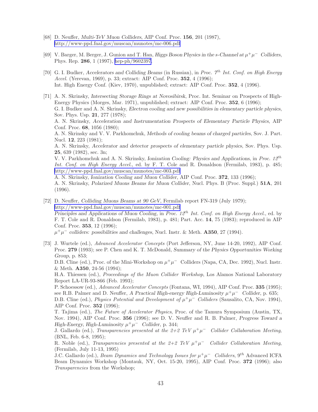- <span id="page-48-0"></span>[68] D. Neuffer, *Multi-TeV Muon Colliders*, AIP Conf. Proc. 156, 201 (1987), <http://www-ppd.fnal.gov/muscan/munotes/mc-006.pdf>
- [69] V. Barger, M. Berger, J. Gunion and T. Han, *Higgs Boson Physics in the s-Channel at*  $\mu^+\mu^-$  *Colliders*, Phys. Rep. 286, 1 (1997), [hep-ph/9602397](http://arXiv.org/abs/hep-ph/9602397).
- [70] G. I. Budker, *Accelerators and Colliding Beams* (in Russian), in *Proc. 7*th *Int. Conf. on High Energy Accel.* (Yerevan, 1969), p. 33; extract: AIP Conf. Proc. 352, 4 (1996); Int. High Energy Conf. (Kiev, 1970), unpublished; extract: AIP Conf. Proc. 352, 4 (1996).

[71] A. N. Skrinsky, *Intersecting Storage Rings at Novosibirsk*, Proc. Int. Seminar on Prospects of High-Energy Physics (Morges, Mar. 1971), unpublished; extract: AIP Conf. Proc. 352, 6 (1996); G. I. Budker and A. N. Skrinsky, *Electron cooling and new possibilities in elementary particle physics*, Sov. Phys. Usp. 21, 277 (1978); A. N. Skrinsky, *Acceleration and Instrumentation Prospects of Elementary Particle Physics*, AIP Conf. Proc. 68, 1056 (1980); A. N. Skrinsky and V. V. Parkhomchuk, *Methods of cooling beams of charged particles*, Sov. J. Part. Nucl. 12, 223 (1981); A. N. Skrinsky, *Accelerator and detector prospects of elementary particle physics*, Sov. Phys. Usp. 25, 639 (1982), sec. 3n; V. V. Parkhomchuk and A. N. Skrinsky, *Ionization Cooling: Physics and Applications*, in *Proc. 12*th *Int. Conf. on High Energy Accel.*, ed. by F. T. Cole and R. Donaldson (Fermilab, 1983), p. 485; <http://www-ppd.fnal.gov/muscan/munotes/mc-003.pdf> A. N. Skrinsky, *Ionization Cooling and Muon Collider*, AIP Conf. Proc. 372, 133 (1996); A. N. Skrinsky, *Polarized Muons Beams for Muon Collider*, Nucl. Phys. B (Proc. Suppl.) 51A, 201 (1996).

[72] D. Neuffer, *Colliding Muons Beams at 90 GeV*, Fermilab report FN-319 (July 1979); <http://www-ppd.fnal.gov/muscan/munotes/mc-001.pdf> *Principles and Applications of Muon Cooling*, in *Proc. 12*th *Int. Conf. on High Energy Accel.*, ed. by F. T. Cole and R. Donaldson (Fermilab, 1983), p. 481; Part. Acc. 14, 75 (1983); reproduced in AIP Conf. Proc. 353, 12 (1996);

 $\mu^+\mu^-$  colliders: possibilities and challenges, Nucl. Instr. & Meth. **A350**, 27 (1994).

[73] J. Wurtele (ed.), *Advanced Accelerator Concepts* (Port Jefferson, NY, June 14-20, 1992), AIP Conf. Proc. 279 (1993); see P. Chen and K. T. McDonald, *Summary of the Physics Opportunities Working Group*, p. 853;

D.B. Cline (ed.), Proc. of the Mini-Workshop on  $\mu^+\mu^-$  Colliders (Napa, CA, Dec. 1992), Nucl. Instr. & Meth. A350, 24-56 (1994);

H.A. Thiessen (ed.), *Proceedings of the Muon Collider Workshop*, Los Alamos National Laboratory Report LA-UR-93-866 (Feb. 1993);

P. Schoessow (ed.), *Advanced Accelerator Concepts* (Fontana, WI, 1994), AIP Conf. Proc. 335 (1995); see R.B. Palmer and D. Neuffer, *A Practical High-energy High-Luminosity*  $\mu^+\mu^-$  Collider, p. 635;

D.B. Cline (ed.), *Physics Potential and Development of*  $\mu^+\mu^-$  *Colliders* (Sausalito, CA, Nov. 1994), AIP Conf. Proc. 352 (1996);

T. Tajima (ed.), *The Future of Accelerator Physics*, Proc. of the Tamura Symposium (Austin, TX, Nov. 1994), AIP Conf. Proc. 356 (1996); see D. V. Neuffer and R. B. Palmer, *Progress Toward a High-Energy, High-Luminosity*  $\mu^+ \mu^-$  *Collider, p.* 344;

J. Gallardo (ed.), *Transparencies presented at the*  $2+2 TeV \mu^+\mu^-$  *Collider Collaboration Meeting*, (BNL, Feb. 6-8, 1995);

R. Noble (ed.), *Transparencies presented at the 2+2 TeV*  $\mu^+\mu^-$  *Collider Collaboration Meeting*, (Fermilab, July 11-13, 1995)

 $J.C.$  Gallardo (ed.), *Beam Dynamics and Technology Issues for*  $\mu^+\mu^-$  *Colliders*, 9<sup>th</sup> Advanced ICFA Beam Dynamics Workshop (Montauk, NY, Oct. 15-20, 1995), AIP Conf. Proc. 372 (1996); also *Transparencies* from the Workshop;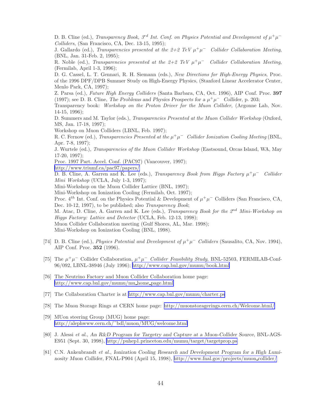<span id="page-49-0"></span>D. B. Cline (ed.), *Transparency Book,*  $3^{rd}$  *Int. Conf. on Physics Potential and Development of*  $\mu^+\mu^-$ *Colliders*, (San Francisco, CA, Dec. 13-15, 1995);

J. Gallardo (ed.), *Transparencies presented at the 2+2 TeV*  $\mu^+\mu^-$  *Collider Collaboration Meeting*, (BNL, Jan. 31-Feb. 2, 1995);

R. Noble (ed.), *Transparencies presented at the 2+2 TeV*  $\mu^+\mu^-$  *Collider Collaboration Meeting*, (Fermilab, April 1-3, 1996);

D. G. Cassel, L. T. Gennari, R. H. Siemann (eds.), *New Directions for High-Energy Physics*, Proc. of the 1996 DPF/DPB Summer Study on High-Energy Physics, (Stanford Linear Accelerator Center, Menlo Park, CA, 1997);

Z. Parsa (ed.), *Future High Energy Colliders* (Santa Barbara, CA, Oct. 1996), AIP Conf. Proc. 397 (1997); see D. B. Cline, *The Problems and Physics Prospects for a*  $\mu^+\mu^-$  *Collider*, p. 203;

Transparency book: *Workshop on the Proton Driver for the Muon Collider*, (Argonne Lab, Nov. 14-15, 1996);

D. Summers and M. Taylor (eds.), *Transparencies Presented at the Muon Collider Workshop* (Oxford, MS, Jan. 17-18, 1997);

Workshop on Muon Colliders (LBNL, Feb. 1997);

R. C. Fernow (ed.), *Transparencies Presented at the*  $\mu^+\mu^-$  *Collider Ionization Cooling Meeting* (BNL, Apr. 7-8, 1997);

J. Wurtele (ed.), *Transparencies of the Muon Collider Workshop* (Eastsound, Orcas Island, WA, May 17-20, 1997);

Proc. 1997 Part. Accel. Conf. (PAC97) (Vancouver, 1997);

<http://www.triumf.ca/pac97/papers/>

D. B. Cline, A. Garren and K. Lee (eds.), *Transparency Book from Higgs Factory*  $\mu^+\mu^-$  *Collider Mini Workshop* (UCLA, July 1-3, 1997);

Mini-Workshop on the Muon Collider Lattice (BNL, 1997);

Mini-Workshop on Ionization Cooling (Fermilab, Oct. 1997);

Proc.  $4^{th}$  Int. Conf. on the Physics Potential & Development of  $\mu^+\mu^-$  Colliders (San Francisco, CA, Dec. 10-12, 1997), to be published; also *Transparency Book*;

M. Atac, D. Cline, A. Garren and K. Lee (eds.), *Transparency Book for the 2*nd *Mini-Workshop on Higgs Factory: Lattice and Detector* (UCLA, Feb. 12-13, 1998);

Muon Collider Collaboration meeting (Gulf Shores, AL, Mar. 1998);

Mini-Workshop on Ionization Cooling (BNL, 1998).

- [74] D. B. Cline (ed.), *Physics Potential and Development of*  $\mu^+\mu^-$  *Colliders* (Sausalito, CA, Nov. 1994), AIP Conf. Proc. 352 (1996).
- [75] The  $\mu^+\mu^-$  Collider Collaboration,  $\mu^+\mu^-$  *Collider Feasibility Study*, BNL-52503, FERMILAB-Conf-96/092, LBNL-38946 (July 1996);<http://www.cap.bnl.gov/mumu/book.html>
- [76] The Neutrino Factory and Muon Collider Collaboration home page: [http://www.cap.bnl.gov/mumu/mu](http://www.cap.bnl.gov/mumu/mu_home_page.html) home page.html
- [77] The Collaboration Charter is at<http://www.cap.bnl.gov/mumu/charter.ps>
- [78] The Muon Storage Rings at CERN home page:<http://muonstoragerings.cern.ch/Welcome.html/>
- [79] MUon steering Group (MUG) home page: [http://alephwww.cern.ch/˜bdl/muon/MUG/welcome.html](http://alephwww.cern.ch/~bdl/muon/MUG/welcome.html)
- [80] J. Alessi *et al.*, *An R&D Program for Targetry and Capture at a Muon-Collider Source*, BNL-AGS-E951 (Sept. 30, 1998),<http://puhep1.princeton.edu/mumu/target/targetprop.ps>
- [81] C.N. Ankenbrandt *et al.*, *Ionization Cooling Research and Development Program for a High Luminosity Muon Collider*, FNAL-P904 (April 15, 1998), [http://www.fnal.gov/projects/muon](http://www.fnal.gov/projects/muon_collider/) collider/